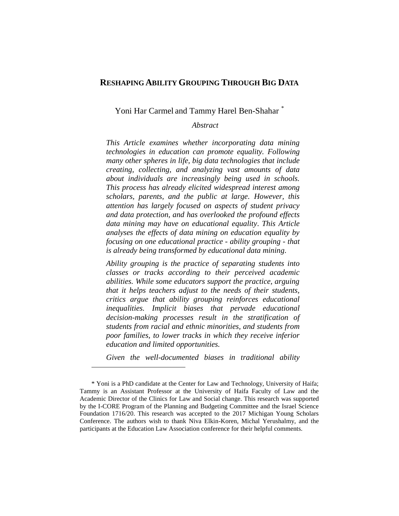# **RESHAPING ABILITY GROUPING THROUGH BIG DATA**

### Yoni Har Carmel and Tammy Harel Ben-Shahar *\**

### *Abstract*

*This Article examines whether incorporating data mining technologies in education can promote equality. Following many other spheres in life, big data technologies that include creating, collecting, and analyzing vast amounts of data about individuals are increasingly being used in schools. This process has already elicited widespread interest among scholars, parents, and the public at large. However, this attention has largely focused on aspects of student privacy and data protection, and has overlooked the profound effects data mining may have on educational equality*. *This Article analyses the effects of data mining on education equality by focusing on one educational practice - ability grouping - that is already being transformed by educational data mining*.

*Ability grouping is the practice of separating students into classes or tracks according to their perceived academic abilities. While some educators support the practice, arguing that it helps teachers adjust to the needs of their students, critics argue that ability grouping reinforces educational inequalities. Implicit biases that pervade educational decision-making processes result in the stratification of students from racial and ethnic minorities, and students from poor families, to lower tracks in which they receive inferior education and limited opportunities.* 

*Given the well-documented biases in traditional ability* 

<sup>\*</sup> Yoni is a PhD candidate at the Center for Law and Technology, University of Haifa; Tammy is an Assistant Professor at the University of Haifa Faculty of Law and the Academic Director of the Clinics for Law and Social change. This research was supported by the I-CORE Program of the Planning and Budgeting Committee and the Israel Science Foundation 1716/20. This research was accepted to the 2017 Michigan Young Scholars Conference. The authors wish to thank Niva Elkin-Koren, Michal Yerushalmy, and the participants at the Education Law Association conference for their helpful comments.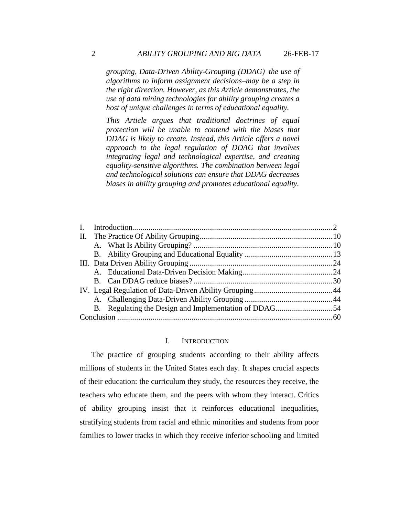*grouping, Data-Driven Ability-Grouping (DDAG)–the use of algorithms to inform assignment decisions–may be a step in the right direction. However, as this Article demonstrates, the use of data mining technologies for ability grouping creates a host of unique challenges in terms of educational equality.* 

*This Article argues that traditional doctrines of equal protection will be unable to contend with the biases that DDAG is likely to create. Instead, this Article offers a novel approach to the legal regulation of DDAG that involves integrating legal and technological expertise, and creating equality-sensitive algorithms. The combination between legal and technological solutions can ensure that DDAG decreases biases in ability grouping and promotes educational equality.* 

### I. INTRODUCTION

The practice of grouping students according to their ability affects millions of students in the United States each day. It shapes crucial aspects of their education: the curriculum they study, the resources they receive, the teachers who educate them, and the peers with whom they interact. Critics of ability grouping insist that it reinforces educational inequalities, stratifying students from racial and ethnic minorities and students from poor families to lower tracks in which they receive inferior schooling and limited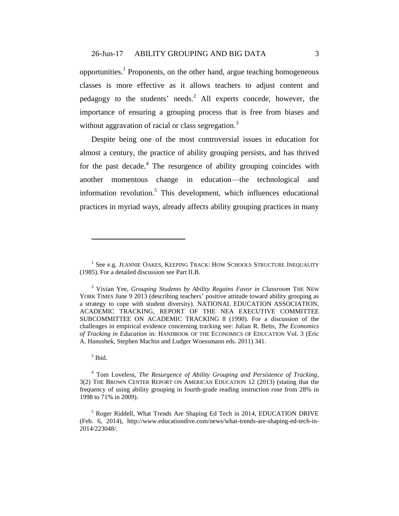<span id="page-2-1"></span><span id="page-2-0"></span>opportunities.<sup>1</sup> Proponents, on the other hand, argue teaching homogeneous classes is more effective as it allows teachers to adjust content and pedagogy to the students' needs.<sup>2</sup> All experts concede, however, the importance of ensuring a grouping process that is free from biases and without aggravation of racial or class segregation.<sup>3</sup>

<span id="page-2-2"></span>Despite being one of the most controversial issues in education for almost a century, the practice of ability grouping persists, and has thrived for the past decade. $4$  The resurgence of ability grouping coincides with another momentous change in education—the technological and information revolution.<sup>5</sup> This development, which influences educational practices in myriad ways, already affects ability grouping practices in many

<sup>3</sup> Ibid.

<sup>&</sup>lt;sup>1</sup> See e.g. JEANNIE OAKES, KEEPING TRACK: HOW SCHOOLS STRUCTURE INEQUALITY (1985). For a detailed discussion see Part II.B.

<sup>2</sup> Vivian Yee, *Grouping Students by Ability Regains Favor in Classroom* THE NEW YORK TIMES June 9 2013 (describing teachers' positive attitude toward ability grouping as a strategy to cope with student diversity). NATIONAL EDUCATION ASSOCIATION, ACADEMIC TRACKING, REPORT OF THE NEA EXECUTIVE COMMITTEE SUBCOMMITTEE ON ACADEMIC TRACKING 8 (1990). For a discussion of the challenges in empirical evidence concerning tracking see: Julian R. Betts, *The Economics of Tracking in Education* in: HANDBOOK OF THE ECONOMICS OF EDUCATION Vol. 3 (Eric A. Hanushek, Stephen Machin and Ludger Woessmann eds. 2011) 341**.**

<sup>4</sup> Tom Loveless, *The Resurgence of Ability Grouping and Persistence of Tracking*, 3(2) THE BROWN CENTER REPORT ON AMERICAN EDUCATION 12 (2013) (stating that the frequency of using ability grouping in fourth-grade reading instruction rose from 28% in 1998 to 71% in 2009).

<sup>&</sup>lt;sup>5</sup> Roger Riddell, What Trends Are Shaping Ed Tech in 2014, EDUCATION DRIVE (Feb. 6, 2014), http://www.educationdive.com/news/what-trends-are-shaping-ed-tech-in-2014/223048/.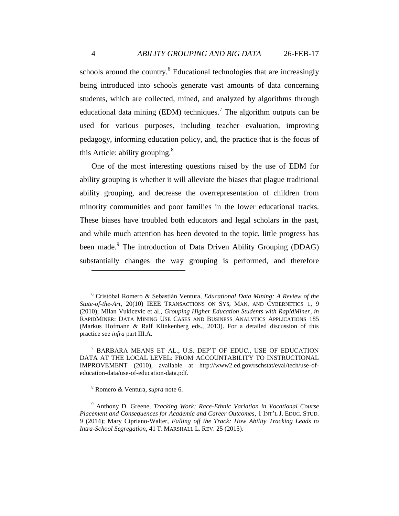<span id="page-3-2"></span><span id="page-3-0"></span>schools around the country.<sup>6</sup> Educational technologies that are increasingly being introduced into schools generate vast amounts of data concerning students, which are collected, mined, and analyzed by algorithms through educational data mining (EDM) techniques.<sup>7</sup> The algorithm outputs can be used for various purposes, including teacher evaluation, improving pedagogy, informing education policy, and, the practice that is the focus of this Article: ability grouping.<sup>8</sup>

One of the most interesting questions raised by the use of EDM for ability grouping is whether it will alleviate the biases that plague traditional ability grouping, and decrease the overrepresentation of children from minority communities and poor families in the lower educational tracks. These biases have troubled both educators and legal scholars in the past, and while much attention has been devoted to the topic, little progress has been made.<sup>9</sup> The introduction of Data Driven Ability Grouping (DDAG) substantially changes the way grouping is performed, and therefore

<sup>7</sup> BARBARA MEANS ET AL., U.S. DEP'T OF EDUC., USE OF EDUCATION DATA AT THE LOCAL LEVEL: FROM ACCOUNTABILITY TO INSTRUCTIONAL IMPROVEMENT (2010), available at http://www2.ed.gov/rschstat/eval/tech/use-ofeducation-data/use-of-education-data.pdf.

<sup>8</sup> Romero & Ventura, *supra* note [6.](#page-3-0)

<span id="page-3-1"></span><sup>6</sup> Cristóbal Romero & Sebastián Ventura, *Educational Data Mining: A Review of the State-of-the-Art*, 20(10) IEEE TRANSACTIONS ON SYS, MAN, AND CYBERNETICS 1, 9 (2010); Milan Vukicevic et al., *Grouping Higher Education Students with RapidMiner*, *in* RAPIDMINER: DATA MINING USE CASES AND BUSINESS ANALYTICS APPLICATIONS 185 (Markus Hofmann & Ralf Klinkenberg eds., 2013). For a detailed discussion of this practice see *infra* part III.A.

<sup>9</sup> Anthony D. Greene, *Tracking Work: Race-Ethnic Variation in Vocational Course Placement and Consequences for Academic and Career Outcomes*, 1 INT'L J. EDUC. STUD. 9 (2014); Mary Cipriano-Walter, *Falling off the Track: How Ability Tracking Leads to Intra-School Segregation*, 41 T. MARSHALL L. REV. 25 (2015).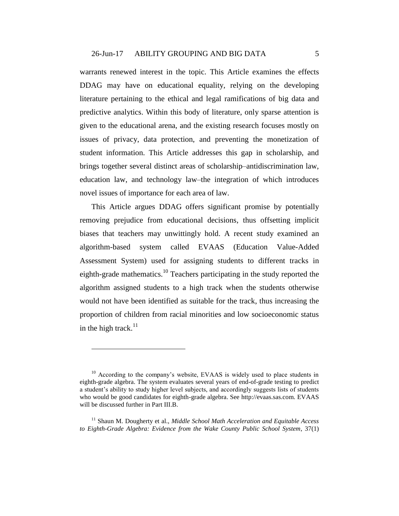warrants renewed interest in the topic. This Article examines the effects DDAG may have on educational equality, relying on the developing literature pertaining to the ethical and legal ramifications of big data and predictive analytics. Within this body of literature, only sparse attention is given to the educational arena, and the existing research focuses mostly on issues of privacy, data protection, and preventing the monetization of student information. This Article addresses this gap in scholarship, and brings together several distinct areas of scholarship–antidiscrimination law, education law, and technology law–the integration of which introduces novel issues of importance for each area of law.

This Article argues DDAG offers significant promise by potentially removing prejudice from educational decisions, thus offsetting implicit biases that teachers may unwittingly hold. A recent study examined an algorithm-based system called EVAAS (Education Value-Added Assessment System) used for assigning students to different tracks in eighth-grade mathematics.<sup>10</sup> Teachers participating in the study reported the algorithm assigned students to a high track when the students otherwise would not have been identified as suitable for the track, thus increasing the proportion of children from racial minorities and low socioeconomic status in the high track. $11$ 

<span id="page-4-0"></span> $10$  According to the company's website, EVAAS is widely used to place students in eighth-grade algebra. The system evaluates several years of end-of-grade testing to predict a student's ability to study higher level subjects, and accordingly suggests lists of students who would be good candidates for eighth-grade algebra. See http://evaas.sas.com. EVAAS will be discussed further in Part III.B.

<sup>&</sup>lt;sup>11</sup> Shaun M. Dougherty et al., *Middle School Math Acceleration and Equitable Access to Eighth-Grade Algebra: Evidence from the Wake County Public School System*, 37(1)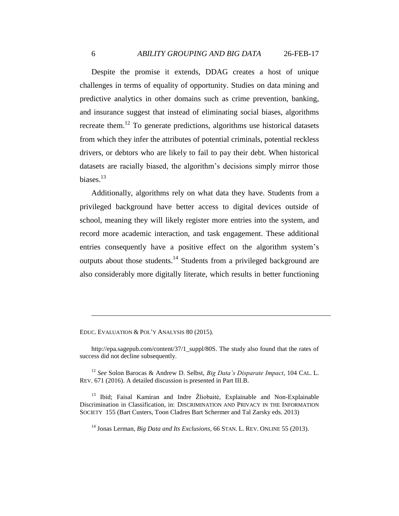<span id="page-5-0"></span>Despite the promise it extends, DDAG creates a host of unique challenges in terms of equality of opportunity. Studies on data mining and predictive analytics in other domains such as crime prevention, banking, and insurance suggest that instead of eliminating social biases, algorithms recreate them.<sup>12</sup> To generate predictions, algorithms use historical datasets from which they infer the attributes of potential criminals, potential reckless drivers, or debtors who are likely to fail to pay their debt. When historical datasets are racially biased, the algorithm's decisions simply mirror those biases.<sup>13</sup>

<span id="page-5-1"></span>Additionally, algorithms rely on what data they have. Students from a privileged background have better access to digital devices outside of school, meaning they will likely register more entries into the system, and record more academic interaction, and task engagement. These additional entries consequently have a positive effect on the algorithm system's outputs about those students.<sup>14</sup> Students from a privileged background are also considerably more digitally literate, which results in better functioning

EDUC. EVALUATION & POL'Y ANALYSIS 80 (2015).

http://epa.sagepub.com/content/37/1\_suppl/80S. The study also found that the rates of success did not decline subsequently.

<sup>12</sup> *See* Solon Barocas & Andrew D. Selbst, *Big Data's Disparate Impact*, 104 CAL. L. REV. 671 (2016). A detailed discussion is presented in Part III.B.

<sup>13</sup> Ibid; Faisal Kamiran and Indre Žliobaitė, Explainable and Non-Explainable Discrimination in Classification, in: DISCRIMINATION AND PRIVACY IN THE INFORMATION SOCIETY 155 (Bart Custers, Toon Cladres Bart Schermer and Tal Zarsky eds. 2013)

<sup>14</sup> Jonas Lerman, *Big Data and Its Exclusions*, 66 STAN. L. REV. ONLINE 55 (2013).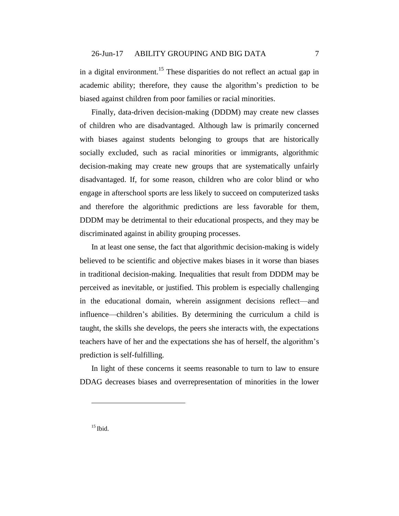in a digital environment.<sup>15</sup> These disparities do not reflect an actual gap in academic ability; therefore, they cause the algorithm's prediction to be biased against children from poor families or racial minorities.

Finally, data-driven decision-making (DDDM) may create new classes of children who are disadvantaged. Although law is primarily concerned with biases against students belonging to groups that are historically socially excluded, such as racial minorities or immigrants, algorithmic decision-making may create new groups that are systematically unfairly disadvantaged. If, for some reason, children who are color blind or who engage in afterschool sports are less likely to succeed on computerized tasks and therefore the algorithmic predictions are less favorable for them, DDDM may be detrimental to their educational prospects, and they may be discriminated against in ability grouping processes.

In at least one sense, the fact that algorithmic decision-making is widely believed to be scientific and objective makes biases in it worse than biases in traditional decision-making. Inequalities that result from DDDM may be perceived as inevitable, or justified. This problem is especially challenging in the educational domain, wherein assignment decisions reflect—and influence—children's abilities. By determining the curriculum a child is taught, the skills she develops, the peers she interacts with, the expectations teachers have of her and the expectations she has of herself, the algorithm's prediction is self-fulfilling.

In light of these concerns it seems reasonable to turn to law to ensure DDAG decreases biases and overrepresentation of minorities in the lower

 $15$  Ibid.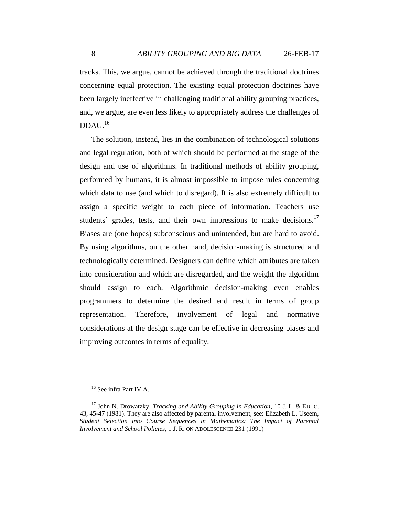tracks. This, we argue, cannot be achieved through the traditional doctrines concerning equal protection. The existing equal protection doctrines have been largely ineffective in challenging traditional ability grouping practices, and, we argue, are even less likely to appropriately address the challenges of DDAG. 16

The solution, instead, lies in the combination of technological solutions and legal regulation, both of which should be performed at the stage of the design and use of algorithms. In traditional methods of ability grouping, performed by humans, it is almost impossible to impose rules concerning which data to use (and which to disregard). It is also extremely difficult to assign a specific weight to each piece of information. Teachers use students' grades, tests, and their own impressions to make decisions.<sup>17</sup> Biases are (one hopes) subconscious and unintended, but are hard to avoid. By using algorithms, on the other hand, decision-making is structured and technologically determined. Designers can define which attributes are taken into consideration and which are disregarded, and the weight the algorithm should assign to each. Algorithmic decision-making even enables programmers to determine the desired end result in terms of group representation. Therefore, involvement of legal and normative considerations at the design stage can be effective in decreasing biases and improving outcomes in terms of equality.

<sup>&</sup>lt;sup>16</sup> See infra Part IV.A.

<sup>17</sup> John N. Drowatzky, *Tracking and Ability Grouping in Education*, 10 J. L. & EDUC. 43, 45-47 (1981). They are also affected by parental involvement, see: Elizabeth L. Useem, *Student Selection into Course Sequences in Mathematics: The Impact of Parental Involvement and School Policies*, 1 J. R. ON ADOLESCENCE 231 (1991)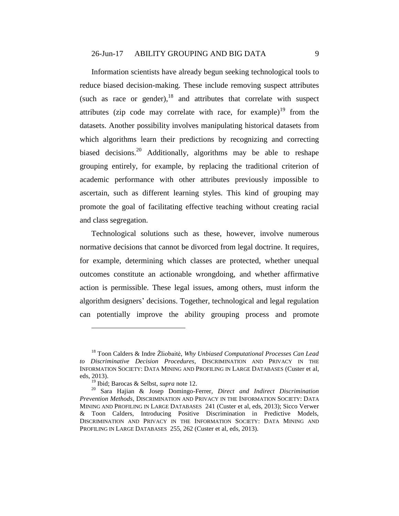<span id="page-8-1"></span><span id="page-8-0"></span>Information scientists have already begun seeking technological tools to reduce biased decision-making. These include removing suspect attributes (such as race or gender), $18$  and attributes that correlate with suspect attributes (zip code may correlate with race, for example)<sup>19</sup> from the datasets. Another possibility involves manipulating historical datasets from which algorithms learn their predictions by recognizing and correcting biased decisions.<sup>20</sup> Additionally, algorithms may be able to reshape grouping entirely, for example, by replacing the traditional criterion of academic performance with other attributes previously impossible to ascertain, such as different learning styles. This kind of grouping may promote the goal of facilitating effective teaching without creating racial and class segregation.

Technological solutions such as these, however, involve numerous normative decisions that cannot be divorced from legal doctrine. It requires, for example, determining which classes are protected, whether unequal outcomes constitute an actionable wrongdoing, and whether affirmative action is permissible. These legal issues, among others, must inform the algorithm designers' decisions. Together, technological and legal regulation can potentially improve the ability grouping process and promote

<sup>18</sup> Toon Calders & Indre Žliobaitė, *Why Unbiased Computational Processes Can Lead to Discriminative Decision Procedures*, DISCRIMINATION AND PRIVACY IN THE INFORMATION SOCIETY: DATA MINING AND PROFILING IN LARGE DATABASES (Custer et al, eds, 2013).

<sup>19</sup> Ibid; Barocas & Selbst, *supra* note [12.](#page-5-0)

<sup>20</sup> Sara Hajian & Josep Domingo-Ferrer, *Direct and Indirect Discrimination Prevention Methods*, DISCRIMINATION AND PRIVACY IN THE INFORMATION SOCIETY: DATA MINING AND PROFILING IN LARGE DATABASES 241 (Custer et al, eds, 2013); Sicco Verwer & Toon Calders, Introducing Positive Discrimination in Predictive Models, DISCRIMINATION AND PRIVACY IN THE INFORMATION SOCIETY: DATA MINING AND PROFILING IN LARGE DATABASES 255, 262 (Custer et al, eds, 2013).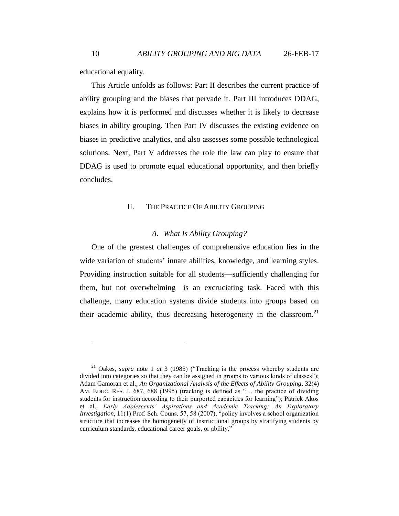educational equality.

This Article unfolds as follows: Part II describes the current practice of ability grouping and the biases that pervade it. Part III introduces DDAG, explains how it is performed and discusses whether it is likely to decrease biases in ability grouping. Then Part IV discusses the existing evidence on biases in predictive analytics, and also assesses some possible technological solutions. Next, Part V addresses the role the law can play to ensure that DDAG is used to promote equal educational opportunity, and then briefly concludes.

#### II. THE PRACTICE OF ABILITY GROUPING

#### <span id="page-9-0"></span>*A. What Is Ability Grouping?*

One of the greatest challenges of comprehensive education lies in the wide variation of students' innate abilities, knowledge, and learning styles. Providing instruction suitable for all students—sufficiently challenging for them, but not overwhelming—is an excruciating task. Faced with this challenge, many education systems divide students into groups based on their academic ability, thus decreasing heterogeneity in the classroom.<sup>21</sup>

<sup>21</sup> Oakes, *supra* note [1](#page-2-0) *at* 3 (1985) ("Tracking is the process whereby students are divided into categories so that they can be assigned in groups to various kinds of classes"); Adam Gamoran et al., *An Organizational Analysis of the Effects of Ability Grouping*, 32(4) AM. EDUC. RES. J. 687, 688 (1995) (tracking is defined as "… the practice of dividing students for instruction according to their purported capacities for learning"); Patrick Akos et al., *Early Adolescents' Aspirations and Academic Tracking: An Exploratory Investigation*, 11(1) Prof. Sch. Couns. 57, 58 (2007), "policy involves a school organization structure that increases the homogeneity of instructional groups by stratifying students by curriculum standards, educational career goals, or ability."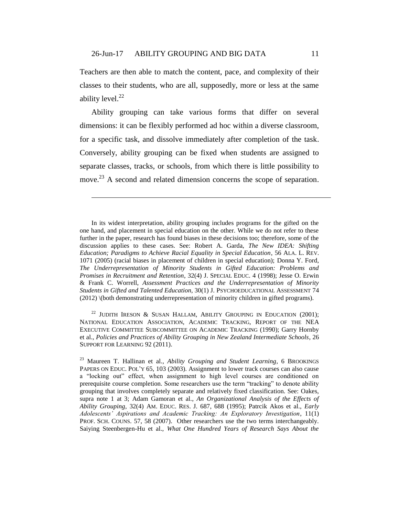<span id="page-10-1"></span> $\overline{a}$ 

Teachers are then able to match the content, pace, and complexity of their classes to their students, who are all, supposedly, more or less at the same ability level. $^{22}$ 

<span id="page-10-0"></span>Ability grouping can take various forms that differ on several dimensions: it can be flexibly performed ad hoc within a diverse classroom, for a specific task, and dissolve immediately after completion of the task. Conversely, ability grouping can be fixed when students are assigned to separate classes, tracks, or schools, from which there is little possibility to move.<sup>23</sup> A second and related dimension concerns the scope of separation.

In its widest interpretation, ability grouping includes programs for the gifted on the one hand, and placement in special education on the other. While we do not refer to these further in the paper, research has found biases in these decisions too; therefore, some of the discussion applies to these cases. See: Robert A. Garda, *The New IDEA: Shifting Education; Paradigms to Achieve Racial Equality in Special Education*, 56 ALA. L. REV. 1071 (2005) (racial biases in placement of children in special education); Donna Y. Ford, *The Underrepresentation of Minority Students in Gifted Education: Problems and Promises in Recruitment and Retention*, 32(4) J. SPECIAL EDUC. 4 (1998); Jesse O. Erwin & Frank C. Worrell, *Assessment Practices and the Underrepresentation of Minority Students in Gifted and Talented Education*, 30(1) J. PSYCHOEDUCATIONAL ASSESSMENT 74 (2012) \(both demonstrating underrepresentation of minority children in gifted programs).

<sup>22</sup> JUDITH IRESON & SUSAN HALLAM, ABILITY GROUPING IN EDUCATION (2001); NATIONAL EDUCATION ASSOCIATION, ACADEMIC TRACKING, REPORT OF THE NEA EXECUTIVE COMMITTEE SUBCOMMITTEE ON ACADEMIC TRACKING (1990); Garry Hornby et al., *Policies and Practices of Ability Grouping in New Zealand Intermediate Schools*, 26 SUPPORT FOR LEARNING 92 (2011).

<sup>23</sup> Maureen T. Hallinan et al., *Ability Grouping and Student Learning*, 6 BROOKINGS PAPERS ON EDUC. POL'Y 65, 103 (2003). Assignment to lower track courses can also cause a "locking out" effect, when assignment to high level courses are conditioned on prerequisite course completion. Some researchers use the term "tracking" to denote ability grouping that involves completely separate and relatively fixed classification. See: Oakes, supra note [1](#page-2-0) at 3; Adam Gamoran et al., *An Organizational Analysis of the Effects of Ability Grouping*, 32(4) AM. EDUC. RES. J. 687, 688 (1995); Patrcik Akos et al., *Early Adolescents' Aspirations and Academic Tracking: An Exploratory Investigation*, 11(1) PROF. SCH. COUNS. 57, 58 (2007). Other researchers use the two terms interchangeably. Saiying Steenbergen-Hu et al., *What One Hundred Years of Research Says About the*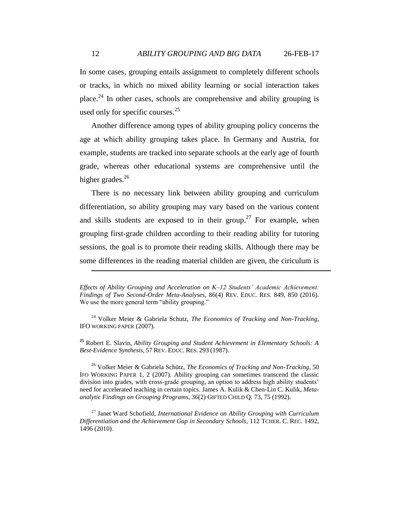In some cases, grouping entails assignment to completely different schools or tracks, in which no mixed ability learning or social interaction takes place.<sup>24</sup> In other cases, schools are comprehensive and ability grouping is used only for specific courses. $25$ 

Another difference among types of ability grouping policy concerns the age at which ability grouping takes place. In Germany and Austria, for example, students are tracked into separate schools at the early age of fourth grade, whereas other educational systems are comprehensive until the higher grades. $26$ 

<span id="page-11-0"></span>There is no necessary link between ability grouping and curriculum differentiation, so ability grouping may vary based on the various content and skills students are exposed to in their group.<sup>27</sup> For example, when grouping first-grade children according to their reading ability for tutoring sessions, the goal is to promote their reading skills. Although there may be some differences in the reading material childen are given, the ciriculum is

**<sup>25</sup>** Robert E. Slavin, *Ability Grouping and Student Achievement in Elementary Schools: A Best-Evidence Synthesis*, 57 REV. EDUC. RES. 293 (1987).

<sup>26</sup> Volker Meier & Gabriela Schütz, *The Economics of Tracking and Non-Tracking*, 50 IFO WORKING PAPER 1, 2 (2007). Ability grouping can sometimes transcend the classic division into grades, with cross-grade grouping, an option to address high ability students' need for accelerated teaching in certain topics. James A. Kulik & Chen-Lin C. Kulik, *Metaanalytic Findings on Grouping Programs*, 36(2) GIFTED CHILD Q. 73, 75 (1992).

<sup>27</sup> Janet Ward Schofield, *International Evidence on Ability Grouping with Curriculum Differentiation and the Achievement Gap in Secondary Schools*, 112 TCHER. C. REC. 1492, 1496 (2010).

*Effects of Ability Grouping and Acceleration on K–12 Students' Academic Achievement: Findings of Two Second-Order Meta-Analyses,* 86(4) REV. EDUC. RES. 849, 850 (2016). We use the more general term "ability grouping."

<sup>24</sup> Volker Meier & Gabriela Schutz, *The Economics of Tracking and Non-Tracking*, IFO WORKING PAPER (2007).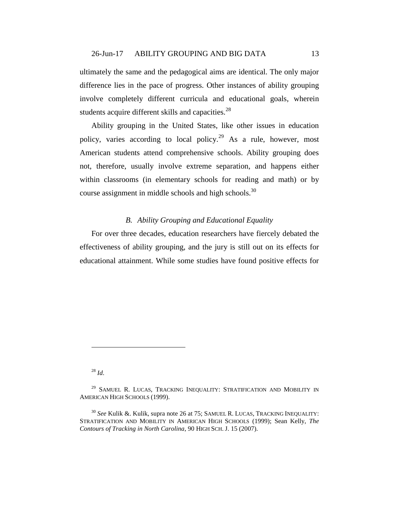ultimately the same and the pedagogical aims are identical. The only major difference lies in the pace of progress. Other instances of ability grouping involve completely different curricula and educational goals, wherein students acquire different skills and capacities.<sup>28</sup>

Ability grouping in the United States, like other issues in education policy, varies according to local policy.<sup>29</sup> As a rule, however, most American students attend comprehensive schools. Ability grouping does not, therefore, usually involve extreme separation, and happens either within classrooms (in elementary schools for reading and math) or by course assignment in middle schools and high schools.<sup>30</sup>

### *B. Ability Grouping and Educational Equality*

For over three decades, education researchers have fiercely debated the effectiveness of ability grouping, and the jury is still out on its effects for educational attainment. While some studies have found positive effects for

<sup>28</sup> *Id*.

 $\overline{a}$ 

<sup>30</sup> *See* Kulik &. Kulik, supra note [26](#page-11-0) at 75; SAMUEL R. LUCAS, TRACKING INEQUALITY: STRATIFICATION AND MOBILITY IN AMERICAN HIGH SCHOOLS (1999); Sean Kelly, *The Contours of Tracking in North Carolina*, 90 HIGH SCH. J. 15 (2007).

<sup>&</sup>lt;sup>29</sup> SAMUEL R. LUCAS, TRACKING INEQUALITY: STRATIFICATION AND MOBILITY IN AMERICAN HIGH SCHOOLS (1999).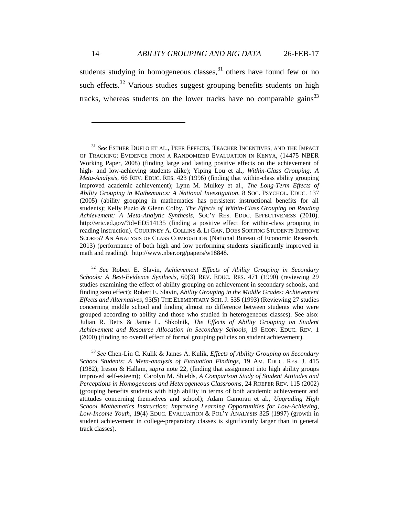14 *ABILITY GROUPING AND BIG DATA* 26-FEB-17

students studying in homogeneous classes, $31$  others have found few or no such effects. $32$  Various studies suggest grouping benefits students on high tracks, whereas students on the lower tracks have no comparable gains<sup>33</sup>

<sup>32</sup> *See* Robert E. Slavin, *Achievement Effects of Ability Grouping in Secondary Schools: A Best-Evidence Synthesis*, 60(3) REV. EDUC. RES. 471 (1990) (reviewing 29 studies examining the effect of ability grouping on achievement in secondary schools, and finding zero effect); Robert E. Slavin, *Ability Grouping in the Middle Grades: Achievement Effects and Alternatives*, 93(5) THE ELEMENTARY SCH. J. 535 (1993) (Reviewing 27 studies concerning middle school and finding almost no difference between students who were grouped according to ability and those who studied in heterogeneous classes). See also: Julian R. Betts & Jamie L. Shkolnik, *The Effects of Ability Grouping on Student Achievement and Resource Allocation in Secondary Schools*, 19 ECON. EDUC. REV. 1 (2000) (finding no overall effect of formal grouping policies on student achievement).

<sup>33</sup> *See* Chen-Lin C. Kulik & James A. Kulik, *Effects of Ability Grouping on Secondary School Students: A Meta-analysis of Evaluation Findings*, 19 AM. EDUC. RES. J. 415 (1982); Ireson & Hallam, *supra* note [22,](#page-10-0) (finding that assignment into high ability groups improved self-esteem); Carolyn M. Shields, *A Comparison Study of Student Attitudes and Perceptions in Homogeneous and Heterogeneous Classrooms*, 24 ROEPER REV. 115 (2002) (grouping benefits students with high ability in terms of both academic achievement and attitudes concerning themselves and school); Adam Gamoran et al., *Upgrading High School Mathematics Instruction: Improving Learning Opportunities for Low-Achieving, Low-Income Youth*, 19(4) EDUC. EVALUATION & POL'Y ANALYSIS 325 (1997) (growth in student achievement in college-preparatory classes is significantly larger than in general track classes).

<sup>31</sup> *See* ESTHER DUFLO ET AL., PEER EFFECTS, TEACHER INCENTIVES, AND THE IMPACT OF TRACKING: EVIDENCE FROM A RANDOMIZED EVALUATION IN KENYA, (14475 NBER Working Paper, 2008) (finding large and lasting positive effects on the achievement of high- and low-achieving students alike); Yiping Lou et al., *Within-Class Grouping: A Meta-Analysis*, 66 REV. EDUC. RES. 423 (1996) (finding that within-class ability grouping improved academic achievement); Lynn M. Mulkey et al., *The Long-Term Effects of Ability Grouping in Mathematics: A National Investigation*, 8 SOC. PSYCHOL. EDUC. 137 (2005) (ability grouping in mathematics has persistent instructional benefits for all students); Kelly Puzio & Glenn Colby, *The Effects of Within-Class Grouping on Reading Achievement: A Meta-Analytic Synthesis*, SOC'Y RES. EDUC. EFFECTIVENESS (2010). http://eric.ed.gov/?id=ED514135 (finding a positive effect for within-class grouping in reading instruction). COURTNEY A. COLLINS & LI GAN, DOES SORTING STUDENTS IMPROVE SCORES? AN ANALYSIS OF CLASS COMPOSITION (National Bureau of Economic Research, 2013) (performance of both high and low performing students significantly improved in math and reading). [http://www.nber.org/papers/w18848.](http://www.nber.org/papers/w18848)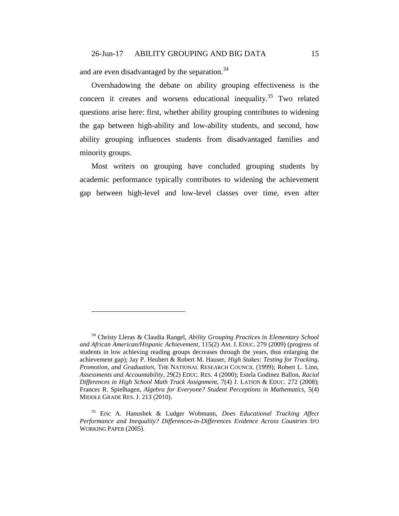and are even disadvantaged by the separation.<sup>34</sup>

 $\overline{a}$ 

<span id="page-14-0"></span>Overshadowing the debate on ability grouping effectiveness is the concern it creates and worsens educational inequality. <sup>35</sup> Two related questions arise here: first, whether ability grouping contributes to widening the gap between high-ability and low-ability students, and second, how ability grouping influences students from disadvantaged families and minority groups.

Most writers on grouping have concluded grouping students by academic performance typically contributes to widening the achievement gap between high-level and low-level classes over time, even after

<sup>34</sup> Christy Lleras & Claudia Rangel, *Ability Grouping Practices in Elementary School and African American/Hispanic Achievement*, 115(2) AM. J. EDUC. 279 (2009) (progress of students in low achieving reading groups decreases through the years, thus enlarging the achievement gap); Jay P. Heubert & Robert M. Hauser, *High Stakes: Testing for Tracking, Promotion, and Graduatio*N, THE NATIONAL RESEARCH COUNCIL (1999); Robert L. Linn, *Assessments and Accountability*, 29(2) EDUC. RES. 4 (2000); Estela Godinez Ballon, *Racial Differences in High School Math Track Assignment*, 7(4) J. LATION & EDUC. 272 (2008); Frances R. Spielhagen, *Algebra for Everyone? Student Perceptions in Mathematics,* 5(4) MIDDLE GRADE RES. J. 213 (2010).

<sup>35</sup> Eric A. Hanushek & Ludger Wobmann, *Does Educational Tracking Affect Performance and Inequality? Differences-in-Differences Evidence Across Countries* IFO WORKING PAPER (2005).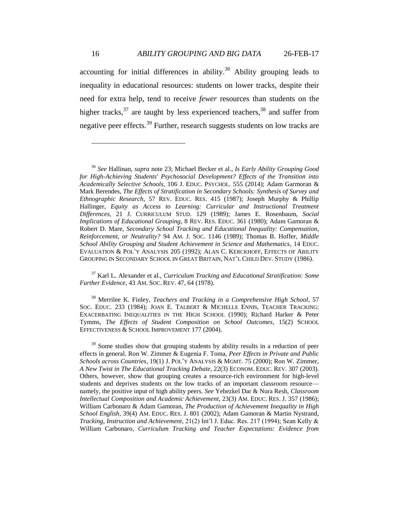<span id="page-15-1"></span><span id="page-15-0"></span>accounting for initial differences in ability. $36$  Ability grouping leads to inequality in educational resources: students on lower tracks, despite their need for extra help, tend to receive *fewer* resources than students on the higher tracks,  $37$  are taught by less experienced teachers,  $38$  and suffer from negative peer effects.<sup>39</sup> Further, research suggests students on low tracks are

<sup>37</sup> Karl L. Alexander et al., *Curriculum Tracking and Educational Stratification: Some Further Evidence*, 43 AM. SOC. REV. 47, 64 (1978).

<sup>38</sup> Merrilee K. Finley, *Teachers and Tracking in a Comprehensive High School*, 57 SOC. EDUC. 233 (1984); JOAN E. TALBERT & MICHELLE ENNIS, TEACHER TRACKING: EXACERBATING INEQUALITIES IN THE HIGH SCHOOL (1990); Richard Harker & Peter Tymms, *The Effects of Student Composition on School Outcomes*, 15(2) SCHOOL EFFECTIVENESS & SCHOOL IMPROVEMENT 177 (2004).

<sup>39</sup> Some studies show that grouping students by ability results in a reduction of peer effects in general. Ron W. Zimmer & Eugenia F. Toma, *Peer Effects in Private and Public Schools across Countries*, 19(1) J. POL'Y ANALYSIS & MGMT. 75 (2000); Ron W. Zimmer, *A New Twist in The Educational Tracking Debate*, 22(3) ECONOM. EDUC. REV. 307 (2003). Others, however, show that grouping creates a resource-rich environment for high-level students and deprives students on the low tracks of an important classroom resource namely, the positive input of high ability peers. *See* Yehezkel Dar & Nura Resh, *Classroom Intellectual Composition and Academic Achievement*, 23(3) AM. EDUC. RES. J. 357 (1986); William Carbonaro & Adam Gamoran, *The Production of Achievement Inequality in High School English*, 39(4) AM. EDUC. RES. J. 801 (2002); Adam Gamoran & Martin Nystrand, *Tracking, Instruction and Achievement*, 21(2) Int'l J. Educ. Res. 217 (1994); Sean Kelly & William Carbonaro, *Curriculum Tracking and Teacher Expectations: Evidence from* 

<sup>36</sup> *See* Hallinan, *supra* note [23;](#page-10-1) Michael Becker et al., *Is Early Ability Grouping Good for High-Achieving Students' Psychosocial Development? Effects of the Transition into Academically Selective Schools,* 106 J. EDUC. PSYCHOL. 555 (2014); Adam Garmoran & Mark Berendes, *The Effects of Stratification in Secondary Schools: Synthesis of Survey and Ethnographic Research*, 57 REV. EDUC. RES. 415 (1987); Joseph Murphy & Phillip Hallinger, *Equity as Access to Learning: Curricular and Instructional Treatment Differences*, 21 J. CURRICULUM STUD. 129 (1989); James E. Rosenbaum, *Social Implications of Educational Grouping*, 8 REV. RES. EDUC. 361 (1980); Adam Gamoran & Robert D. Mare, *Secondary School Tracking and Educational Inequality: Compensation, Reinforcement, or Neutrality?* 94 AM. J. SOC. 1146 (1989); Thomas B. Hoffer*, Middle School Ability Grouping and Student Achievement in Science and Mathematics*, 14 EDUC. EVALUATION & POL'Y ANALYSIS 205 (1992); ALAN C. KERCKHOFF, EFFECTS OF ABILITY GROUPING IN SECONDARY SCHOOL IN GREAT BRITAIN, NAT'L CHILD DEV. STUDY (1986).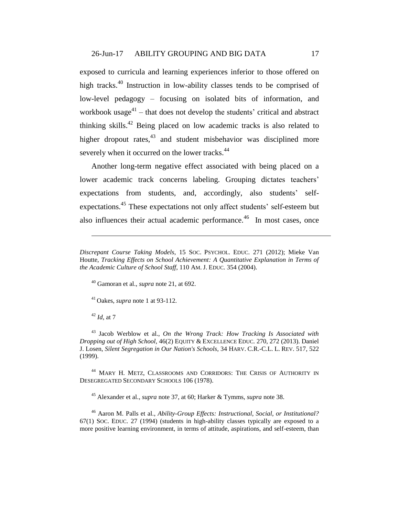exposed to curricula and learning experiences inferior to those offered on high tracks.<sup>40</sup> Instruction in low-ability classes tends to be comprised of low-level pedagogy – focusing on isolated bits of information, and workbook usage $41$  – that does not develop the students' critical and abstract thinking skills.<sup>42</sup> Being placed on low academic tracks is also related to higher dropout rates, $43$  and student misbehavior was disciplined more severely when it occurred on the lower tracks.<sup>44</sup>

<span id="page-16-0"></span>Another long-term negative effect associated with being placed on a lower academic track concerns labeling. Grouping dictates teachers' expectations from students, and, accordingly, also students' selfexpectations.<sup>45</sup> These expectations not only affect students' self-esteem but also influences their actual academic performance.<sup>46</sup> In most cases, once

<sup>40</sup> Gamoran et al., *supra* note [21,](#page-9-0) at 692.

<sup>41</sup> Oakes, *supra* note [1](#page-2-0) at 93-112.

<sup>42</sup> *Id*, at 7

 $\overline{a}$ 

<sup>43</sup> Jacob Werblow et al., *On the Wrong Track: How Tracking Is Associated with Dropping out of High School,* 46(2) EQUITY & EXCELLENCE EDUC. 270, 272 (2013). Daniel J. Losen, *Silent Segregation in Our Nation's Schools*, 34 HARV. C.R.-C.L. L. REV. 517, 522 (1999).

<sup>44</sup> MARY H. METZ, CLASSROOMS AND CORRIDORS: THE CRISIS OF AUTHORITY IN DESEGREGATED SECONDARY SCHOOLS 106 (1978).

<sup>45</sup> Alexander et al., *supra* note [37,](#page-15-0) at 60; Harker & Tymms, *supra* note [38.](#page-15-1)

<sup>46</sup> Aaron M. Palls et al., *Ability-Group Effects: Instructional, Social, or Institutional?* 67(1) SOC. EDUC. 27 (1994) (students in high-ability classes typically are exposed to a more positive learning environment, in terms of attitude, aspirations, and self-esteem, than

*Discrepant Course Taking Models*, 15 SOC. PSYCHOL. EDUC. 271 (2012); Mieke Van Houtte, *Tracking Effects on School Achievement: A Quantitative Explanation in Terms of the Academic Culture of School Staff*, 110 AM. J. EDUC. 354 (2004).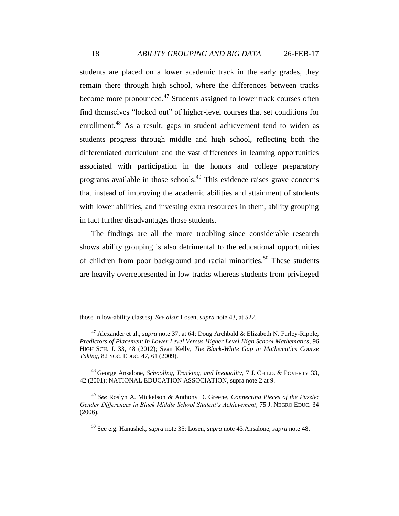<span id="page-17-0"></span>students are placed on a lower academic track in the early grades, they remain there through high school, where the differences between tracks become more pronounced.<sup>47</sup> Students assigned to lower track courses often find themselves "locked out" of higher-level courses that set conditions for enrollment.<sup>48</sup> As a result, gaps in student achievement tend to widen as students progress through middle and high school, reflecting both the differentiated curriculum and the vast differences in learning opportunities associated with participation in the honors and college preparatory programs available in those schools.<sup>49</sup> This evidence raises grave concerns that instead of improving the academic abilities and attainment of students with lower abilities, and investing extra resources in them, ability grouping in fact further disadvantages those students.

The findings are all the more troubling since considerable research shows ability grouping is also detrimental to the educational opportunities of children from poor background and racial minorities.<sup>50</sup> These students are heavily overrepresented in low tracks whereas students from privileged

<sup>48</sup> George Ansalone, *Schooling, Tracking, and Inequality*, 7 J. CHILD. & POVERTY 33, 42 (2001); NATIONAL EDUCATION ASSOCIATION, supra note [2](#page-2-1) at 9.

<sup>49</sup> *See* Roslyn A. Mickelson & Anthony D. Greene, *Connecting Pieces of the Puzzle: Gender Differences in Black Middle School Student's Achievement*, 75 J. NEGRO EDUC. 34 (2006).

<sup>50</sup> See e.g. Hanushek, *supra* note [35;](#page-14-0) Losen, *supra* note [43.](#page-16-0)Ansalone, *supra* note [48.](#page-17-0)

those in low-ability classes). *See also*: Losen, *supra* not[e 43,](#page-16-0) at 522.

<sup>&</sup>lt;sup>47</sup> Alexander et al., *supra* not[e 37,](#page-15-0) at 64; Doug Archbald & Elizabeth N. Farley-Ripple, *Predictors of Placement in Lower Level Versus Higher Level High School Mathematics*, 96 HIGH SCH. J. 33, 48 (2012); Sean Kelly, *The Black-White Gap in Mathematics Course Taking*, 82 SOC. EDUC. 47, 61 (2009).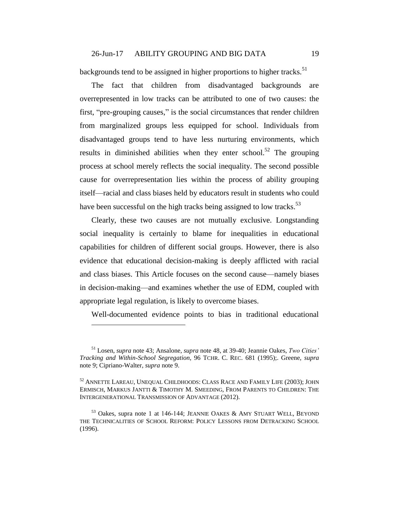backgrounds tend to be assigned in higher proportions to higher tracks.<sup>51</sup>

<span id="page-18-0"></span>The fact that children from disadvantaged backgrounds are overrepresented in low tracks can be attributed to one of two causes: the first, "pre-grouping causes," is the social circumstances that render children from marginalized groups less equipped for school. Individuals from disadvantaged groups tend to have less nurturing environments, which results in diminished abilities when they enter school.<sup>52</sup> The grouping process at school merely reflects the social inequality. The second possible cause for overrepresentation lies within the process of ability grouping itself—racial and class biases held by educators result in students who could have been successful on the high tracks being assigned to low tracks.<sup>53</sup>

<span id="page-18-1"></span>Clearly, these two causes are not mutually exclusive. Longstanding social inequality is certainly to blame for inequalities in educational capabilities for children of different social groups. However, there is also evidence that educational decision-making is deeply afflicted with racial and class biases. This Article focuses on the second cause—namely biases in decision-making—and examines whether the use of EDM, coupled with appropriate legal regulation, is likely to overcome biases.

Well-documented evidence points to bias in traditional educational

<sup>51</sup> Losen, *supra* note [43;](#page-16-0) Ansalone, *supra* note [48,](#page-17-0) at 39-40; Jeannie Oakes, *Two Cities' Tracking and Within-School Segregation*, 96 TCHR. C. REC. 681 (1995);. Greene, *supra* note [9;](#page-3-1) Cipriano-Walter, *supra* note [9.](#page-3-1)

<sup>52</sup> ANNETTE LAREAU, UNEQUAL CHILDHOODS: CLASS RACE AND FAMILY LIFE (2003); JOHN ERMISCH, MARKUS JANTTI & TIMOTHY M. SMEEDING, FROM PARENTS TO CHILDREN: THE INTERGENERATIONAL TRANSMISSION OF ADVANTAGE (2012).

 $53$  Oakes, supra note [1](#page-2-0) at 146-144; JEANNIE OAKES & AMY STUART WELL, BEYOND THE TECHNICALITIES OF SCHOOL REFORM: POLICY LESSONS FROM DETRACKING SCHOOL (1996).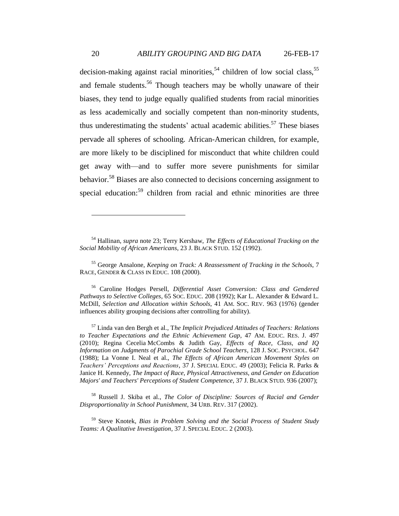<span id="page-19-0"></span>decision-making against racial minorities,<sup>54</sup> children of low social class,<sup>55</sup> and female students.<sup>56</sup> Though teachers may be wholly unaware of their biases, they tend to judge equally qualified students from racial minorities as less academically and socially competent than non-minority students, thus underestimating the students' actual academic abilities.<sup>57</sup> These biases pervade all spheres of schooling. African-American children, for example, are more likely to be disciplined for misconduct that white children could get away with—and to suffer more severe punishments for similar behavior.<sup>58</sup> Biases are also connected to decisions concerning assignment to special education:<sup>59</sup> children from racial and ethnic minorities are three

<sup>55</sup> George Ansalone, *Keeping on Track: A Reassessment of Tracking in the Schools*, 7 RACE, GENDER & CLASS IN EDUC. 108 (2000).

<sup>56</sup> Caroline Hodges Persell, *Differential Asset Conversion: Class and Gendered Pathways to Selective Colleges*, 65 SOC. EDUC. 208 (1992); Kar L. Alexander & Edward L. McDill, *Selection and Allocation within Schools*, 41 AM. SOC. REV. 963 (1976) (gender influences ability grouping decisions after controlling for ability).

<sup>57</sup> Linda van den Bergh et al., T*he Implicit Prejudiced Attitudes of Teachers: Relations to Teacher Expectations and the Ethnic Achievement Gap*, 47 AM. EDUC. RES. J. 497 (2010); Regina Cecelia McCombs & Judith Gay, *Effects of Race, Class, and IQ Information on Judgments of Parochial Grade School Teachers*, 128 J. SOC. PSYCHOL. 647 (1988); La Vonne I. Neal et al., *The Effects of African American Movement Styles on Teachers' Perceptions and Reactions*, 37 J. SPECIAL EDUC. 49 (2003); Felicia R. Parks & Janice H. Kennedy, *The Impact of Race, Physical Attractiveness, and Gender on Education Majors' and Teachers' Perceptions of Student Competence*, 37 J. BLACK STUD. 936 (2007);

<sup>58</sup> Russell J. Skiba et al., *The Color of Discipline: Sources of Racial and Gender Disproportionality in School Punishment*, 34 URB. REV. 317 (2002).

<sup>59</sup> Steve Knotek, *Bias in Problem Solving and the Social Process of Student Study Teams: A Qualitative Investigation*, 37 J. SPECIAL EDUC. 2 (2003).

<sup>54</sup> Hallinan, *supra* note [23;](#page-10-1) Terry Kershaw, *The Effects of Educational Tracking on the Social Mobility of African Americans*, 23 J. BLACK STUD. 152 (1992).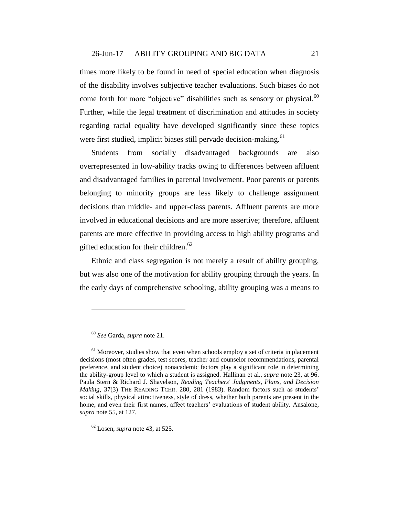times more likely to be found in need of special education when diagnosis of the disability involves subjective teacher evaluations. Such biases do not come forth for more "objective" disabilities such as sensory or physical.<sup>60</sup> Further, while the legal treatment of discrimination and attitudes in society regarding racial equality have developed significantly since these topics were first studied, implicit biases still pervade decision-making.<sup>61</sup>

Students from socially disadvantaged backgrounds are also overrepresented in low-ability tracks owing to differences between affluent and disadvantaged families in parental involvement. Poor parents or parents belonging to minority groups are less likely to challenge assignment decisions than middle- and upper-class parents. Affluent parents are more involved in educational decisions and are more assertive; therefore, affluent parents are more effective in providing access to high ability programs and gifted education for their children.<sup>62</sup>

Ethnic and class segregation is not merely a result of ability grouping, but was also one of the motivation for ability grouping through the years. In the early days of comprehensive schooling, ability grouping was a means to

<sup>60</sup> *See* Garda, *supra* note [21.](#page-9-0)

 $<sup>61</sup>$  Moreover, studies show that even when schools employ a set of criteria in placement</sup> decisions (most often grades, test scores, teacher and counselor recommendations, parental preference, and student choice) nonacademic factors play a significant role in determining the ability-group level to which a student is assigned. Hallinan et al., *supra* note [23,](#page-10-1) at 96. Paula Stern & Richard J. Shavelson, *Reading Teachers' Judgments, Plans, and Decision Making*, 37(3) THE READING TCHR. 280, 281 (1983). Random factors such as students' social skills, physical attractiveness, style of dress, whether both parents are present in the home, and even their first names, affect teachers' evaluations of student ability. Ansalone, *supra* note [55,](#page-19-0) at 127.

<sup>62</sup> Losen, *supra* note [43,](#page-16-0) at 525.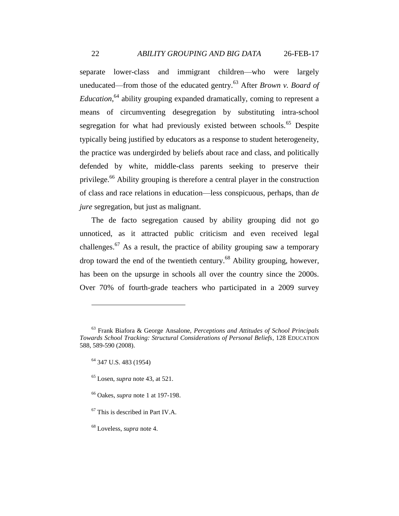separate lower-class and immigrant children—who were largely uneducated—from those of the educated gentry.<sup>63</sup> After *Brown v. Board of Education*, <sup>64</sup> ability grouping expanded dramatically, coming to represent a means of circumventing desegregation by substituting intra-school segregation for what had previously existed between schools.<sup>65</sup> Despite typically being justified by educators as a response to student heterogeneity, the practice was undergirded by beliefs about race and class, and politically defended by white, middle-class parents seeking to preserve their privilege.<sup>66</sup> Ability grouping is therefore a central player in the construction of class and race relations in education—less conspicuous, perhaps, than *de jure* segregation, but just as malignant.

The de facto segregation caused by ability grouping did not go unnoticed, as it attracted public criticism and even received legal challenges.<sup>67</sup> As a result, the practice of ability grouping saw a temporary drop toward the end of the twentieth century.<sup>68</sup> Ability grouping, however, has been on the upsurge in schools all over the country since the 2000s. Over 70% of fourth-grade teachers who participated in a 2009 survey

<sup>63</sup> Frank Biafora & George Ansalone, *Perceptions and Attitudes of School Principals Towards School Tracking: Structural Considerations of Personal Beliefs*, 128 EDUCATION 588, 589-590 (2008).

<sup>64</sup> 347 U.S. 483 (1954)

<sup>65</sup> Losen, *supra* note [43,](#page-16-0) at 521.

<sup>66</sup> Oakes, *supra* note [1](#page-2-0) at 197-198.

<sup>67</sup> This is described in Part IV.A.

<sup>68</sup> Loveless, *supra* note [4.](#page-2-2)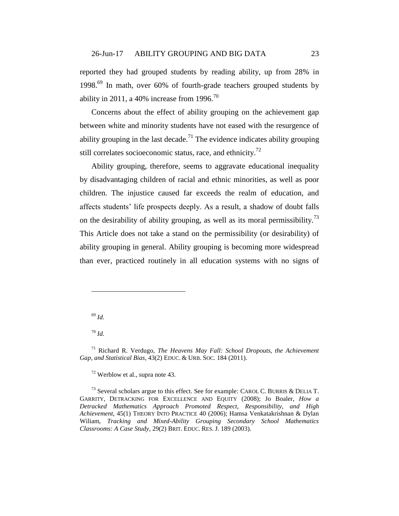reported they had grouped students by reading ability, up from 28% in 1998.<sup>69</sup> In math, over 60% of fourth-grade teachers grouped students by ability in 2011, a 40% increase from 1996.<sup>70</sup>

Concerns about the effect of ability grouping on the achievement gap between white and minority students have not eased with the resurgence of ability grouping in the last decade.<sup>71</sup> The evidence indicates ability grouping still correlates socioeconomic status, race, and ethnicity.<sup>72</sup>

Ability grouping, therefore, seems to aggravate educational inequality by disadvantaging children of racial and ethnic minorities, as well as poor children. The injustice caused far exceeds the realm of education, and affects students' life prospects deeply. As a result, a shadow of doubt falls on the desirability of ability grouping, as well as its moral permissibility.<sup>73</sup> This Article does not take a stand on the permissibility (or desirability) of ability grouping in general. Ability grouping is becoming more widespread than ever, practiced routinely in all education systems with no signs of

<sup>69</sup> *Id.*

 $\overline{a}$ 

<sup>70</sup> *Id.*

 $72$  Werblow et al., supra note [43.](#page-16-0)

<sup>73</sup> Several scholars argue to this effect. See for example: CAROL C. BURRIS & DELIA T. GARRITY, DETRACKING FOR EXCELLENCE AND EQUITY (2008); Jo Boaler, *How a Detracked Mathematics Approach Promoted Respect, Responsibility, and High Achievement*, 45(1) THEORY INTO PRACTICE 40 (2006); Hamsa Venkatakrishnan & Dylan Wiliam, *Tracking and Mixed-Ability Grouping Secondary School Mathematics Classrooms: A Case Study*, 29(2) BRIT. EDUC. RES. J. 189 (2003).

<sup>71</sup> Richard R. Verdugo, *The Heavens May Fall: School Dropouts, the Achievement Gap, and Statistical Bias*, 43(2) EDUC. & URB. SOC. 184 (2011).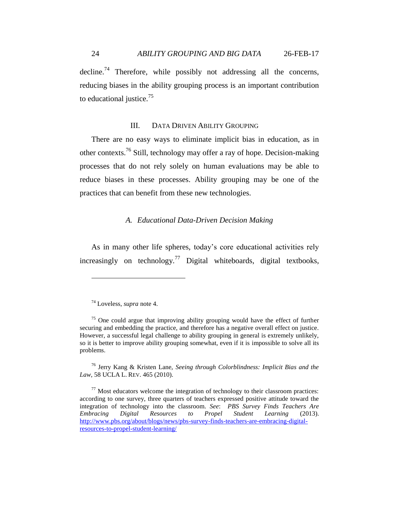decline.<sup>74</sup> Therefore, while possibly not addressing all the concerns, reducing biases in the ability grouping process is an important contribution to educational justice.<sup>75</sup>

#### III. DATA DRIVEN ABILITY GROUPING

There are no easy ways to eliminate implicit bias in education, as in other contexts.<sup>76</sup> Still, technology may offer a ray of hope. Decision-making processes that do not rely solely on human evaluations may be able to reduce biases in these processes. Ability grouping may be one of the practices that can benefit from these new technologies.

### *A. Educational Data-Driven Decision Making*

As in many other life spheres, today's core educational activities rely increasingly on technology.<sup>77</sup> Digital whiteboards, digital textbooks,

 $\overline{a}$ 

<sup>76</sup> Jerry Kang & Kristen Lane, *Seeing through Colorblindness: Implicit Bias and the Law*, 58 UCLA L. REV. 465 (2010).

<sup>74</sup> Loveless, *supra* note [4.](#page-2-2)

 $75$  One could argue that improving ability grouping would have the effect of further securing and embedding the practice, and therefore has a negative overall effect on justice. However, a successful legal challenge to ability grouping in general is extremely unlikely, so it is better to improve ability grouping somewhat, even if it is impossible to solve all its problems.

 $77$  Most educators welcome the integration of technology to their classroom practices: according to one survey, three quarters of teachers expressed positive attitude toward the integration of technology into the classroom. *See*: *PBS Survey Finds Teachers Are Embracing Digital Resources to Propel Student Learning* (2013). [http://www.pbs.org/about/blogs/news/pbs-survey-finds-teachers-are-embracing-digital](http://www.pbs.org/about/blogs/news/pbs-survey-finds-teachers-are-embracing-digital-resources-to-propel-student-learning/)[resources-to-propel-student-learning/](http://www.pbs.org/about/blogs/news/pbs-survey-finds-teachers-are-embracing-digital-resources-to-propel-student-learning/)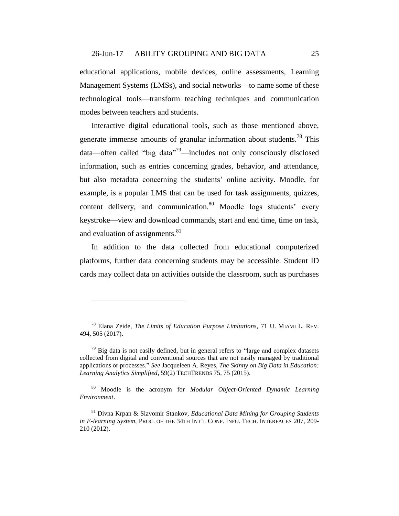educational applications, mobile devices, online assessments, Learning Management Systems (LMSs), and social networks—to name some of these technological tools—transform teaching techniques and communication modes between teachers and students.

Interactive digital educational tools, such as those mentioned above, generate immense amounts of granular information about students.<sup>78</sup> This data—often called "big data"<sup>79</sup>—includes not only consciously disclosed information, such as entries concerning grades, behavior, and attendance, but also metadata concerning the students' online activity. Moodle, for example, is a popular LMS that can be used for task assignments, quizzes, content delivery, and communication.<sup>80</sup> Moodle logs students' every keystroke—view and download commands, start and end time, time on task, and evaluation of assignments.<sup>81</sup>

In addition to the data collected from educational computerized platforms, further data concerning students may be accessible. Student ID cards may collect data on activities outside the classroom, such as purchases

<sup>78</sup> Elana Zeide, *The Limits of Education Purpose Limitations*, 71 U. MIAMI L. REV. 494, 505 (2017).

 $79$  Big data is not easily defined, but in general refers to "large and complex datasets" collected from digital and conventional sources that are not easily managed by traditional applications or processes." *See* Jacqueleen A. Reyes, *The Skinny on Big Data in Education: Learning Analytics Simplified*, 59(2) TECHTRENDS 75, 75 (2015).

<sup>80</sup> Moodle is the acronym for *Modular Object-Oriented Dynamic Learning Environment*.

<sup>81</sup> Divna Krpan & Slavomir Stankov, *Educational Data Mining for Grouping Students in E-learning System*, PROC. OF THE 34TH INT'L CONF. INFO. TECH. INTERFACES 207, 209- 210 (2012).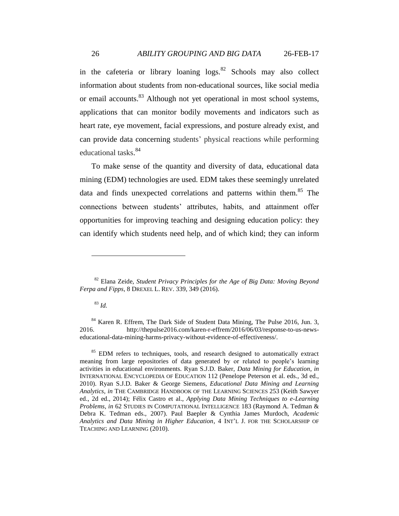<span id="page-25-0"></span>in the cafeteria or library loaning  $\log s$ .<sup>82</sup> Schools may also collect information about students from non-educational sources, like social media or email accounts.<sup>83</sup> Although not yet operational in most school systems, applications that can monitor bodily movements and indicators such as heart rate, eye movement, facial expressions, and posture already exist, and can provide data concerning students' physical reactions while performing educational tasks. 84

To make sense of the quantity and diversity of data, educational data mining (EDM) technologies are used. EDM takes these seemingly unrelated data and finds unexpected correlations and patterns within them.<sup>85</sup> The connections between students' attributes, habits, and attainment offer opportunities for improving teaching and designing education policy: they can identify which students need help, and of which kind; they can inform

### <sup>83</sup> *Id.*

<sup>82</sup> Elana Zeide, *Student Privacy Principles for the Age of Big Data: Moving Beyond Ferpa and Fipps*, 8 DREXEL L. REV. 339, 349 (2016).

<sup>&</sup>lt;sup>84</sup> Karen R. Effrem, The Dark Side of Student Data Mining, The Pulse 2016, Jun. 3, 2016. http://thepulse2016.com/karen-r-effrem/2016/06/03/response-to-us-newseducational-data-mining-harms-privacy-without-evidence-of-effectiveness/.

 $85$  EDM refers to techniques, tools, and research designed to automatically extract meaning from large repositories of data generated by or related to people's learning activities in educational environments. Ryan S.J.D. Baker, *Data Mining for Education*, *in* INTERNATIONAL ENCYCLOPEDIA OF EDUCATION 112 (Penelope Peterson et al. eds., 3d ed., 2010). Ryan S.J.D. Baker & George Siemens, *Educational Data Mining and Learning Analytics*, *in* THE CAMBRIDGE HANDBOOK OF THE LEARNING SCIENCES 253 (Keith Sawyer ed., 2d ed., 2014); Félix Castro et al., *Applying Data Mining Techniques to e-Learning Problems*, *in* 62 STUDIES IN COMPUTATIONAL INTELLIGENCE 183 (Raymond A. Tedman & Debra K. Tedman eds., 2007). Paul Baepler & Cynthia James Murdoch, *Academic Analytics and Data Mining in Higher Education*, 4 INT'L J. FOR THE SCHOLARSHIP OF TEACHING AND LEARNING (2010).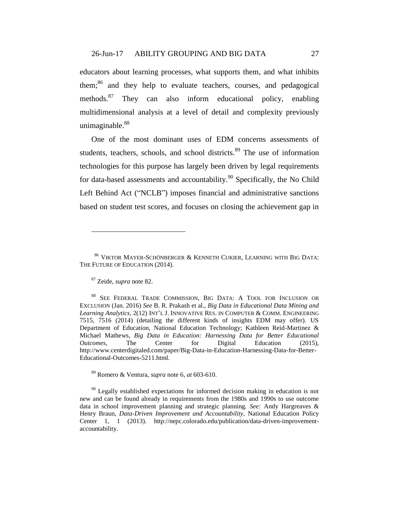educators about learning processes, what supports them, and what inhibits them;<sup>86</sup> and they help to evaluate teachers, courses, and pedagogical methods.<sup>87</sup> They can also inform educational policy, enabling multidimensional analysis at a level of detail and complexity previously unimaginable. 88

One of the most dominant uses of EDM concerns assessments of students, teachers, schools, and school districts.<sup>89</sup> The use of information technologies for this purpose has largely been driven by legal requirements for data-based assessments and accountability.<sup>90</sup> Specifically, the No Child Left Behind Act ("NCLB") imposes financial and administrative sanctions based on student test scores, and focuses on closing the achievement gap in

<span id="page-26-0"></span> $\overline{a}$ 

<sup>89</sup> Romero & Ventura, *supra* not[e 6,](#page-3-0) *at* 603-610.

 $90$  Legally established expectations for informed decision making in education is not new and can be found already in requirements from the 1980s and 1990s to use outcome data in school improvement planning and strategic planning. *See:* Andy Hargreaves & Henry Braun, *Data-Driven Improvement and Accountability*, National Education Policy Center 1, 1 (2013). http://nepc.colorado.edu/publication/data-driven-improvementaccountability.

<sup>86</sup> VIKTOR MAYER-SCHÖNBERGER & KENNETH CUKIER, LEARNING WITH BIG DATA: THE FUTURE OF EDUCATION (2014).

<sup>87</sup> Zeide, *supra* note [82.](#page-25-0)

<sup>88</sup> SEE FEDERAL TRADE COMMISSION, BIG DATA: A TOOL FOR INCLUSION OR EXCLUSION (Jan. 2016) *See* B. R. Prakash et al., *Big Data in Educational Data Mining and Learning Analytics*, 2(12) INT'L J. INNOVATIVE RES. IN COMPUTER & COMM. ENGINEERING 7515, 7516 (2014) (detailing the different kinds of insights EDM may offer). US Department of Education, National Education Technology; Kathleen Reid-Martinez & Michael Mathews, *Big Data in Education: Harnessing Data for Better Educational Outcomes*, The Center for Digital Education (2015), http://www.centerdigitaled.com/paper/Big-Data-in-Education-Harnessing-Data-for-Better-Educational-Outcomes-5211.html.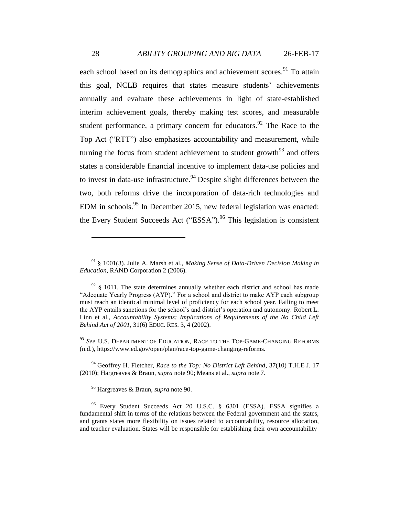each school based on its demographics and achievement scores.<sup>91</sup> To attain this goal, NCLB requires that states measure students' achievements annually and evaluate these achievements in light of state-established interim achievement goals, thereby making test scores, and measurable student performance, a primary concern for educators.<sup>92</sup> The Race to the Top Act ("RTT") also emphasizes accountability and measurement, while turning the focus from student achievement to student growth<sup>93</sup> and offers states a considerable financial incentive to implement data-use policies and to invest in data-use infrastructure.<sup>94</sup> Despite slight differences between the two, both reforms drive the incorporation of data-rich technologies and EDM in schools.<sup>95</sup> In December 2015, new federal legislation was enacted: the Every Student Succeeds Act ("ESSA").<sup>96</sup> This legislation is consistent

<sup>94</sup> Geoffrey H. Fletcher, *Race to the Top: No District Left Behind*, 37(10) T.H.E J. 17 (2010); Hargreaves & Braun, *supra* note [90;](#page-26-0) Means et al., *supra* note [7.](#page-3-2)

<sup>95</sup> Hargreaves & Braun, *supra* note [90.](#page-26-0)

<sup>91</sup> § 1001(3). Julie A. Marsh et al., *Making Sense of Data-Driven Decision Making in Education*, RAND Corporation 2 (2006).

 $92 \text{ }\frac{\text{92}}{\text{ }\frac{\text{93}}{\text{ }\frac{\text{94}}{\text{ }\frac{\text{95}}{\text{ }\frac{\text{96}}{\text{ }\frac{\text{96}}{\text{ }\frac{\text{97}}{\text{ }\frac{\text{98}}{\text{ }\frac{\text{99}}{\text{ }\frac{\text{99}}{\text{ }\frac{\text{99}}{\text{ }\frac{\text{99}}{\text{ }\frac{\text{99}}{\text{ }\frac{\text{99}}{\text{ }\frac{\text{99}}{\text{ }\frac{\text{99}}{\text{ }\frac{\text{99}}{\text{ }\frac{\text{99}}{\text{ }\frac{\text{99}}{\text{ }\frac{\text{9$ "Adequate Yearly Progress (AYP)." For a school and district to make AYP each subgroup must reach an identical minimal level of proficiency for each school year. Failing to meet the AYP entails sanctions for the school's and district's operation and autonomy. Robert L. Linn et al., *Accountability Systems: Implications of Requirements of the No Child Left Behind Act of 2001*, 31(6) EDUC. RES. 3, 4 (2002).

**<sup>93</sup>** *See* U.S. DEPARTMENT OF EDUCATION, RACE TO THE TOP-GAME-CHANGING REFORMS (n.d.), https://www.ed.gov/open/plan/race-top-game-changing-reforms.

<sup>&</sup>lt;sup>96</sup> Every Student Succeeds Act 20 U.S.C. § 6301 (ESSA). ESSA signifies a fundamental shift in terms of the relations between the Federal government and the states, and grants states more flexibility on issues related to accountability, resource allocation, and teacher evaluation. States will be responsible for establishing their own accountability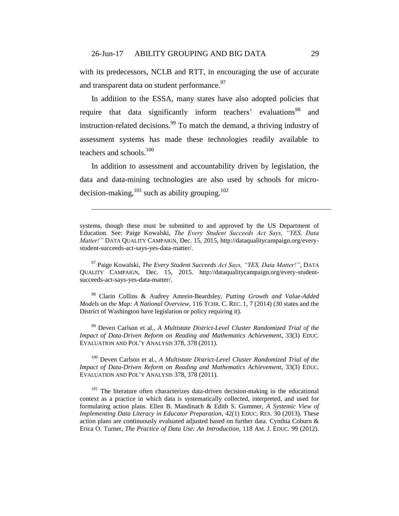with its predecessors, NCLB and RTT, in encouraging the use of accurate and transparent data on student performance.<sup>97</sup>

In addition to the ESSA, many states have also adopted policies that require that data significantly inform teachers' evaluations<sup>98</sup> and instruction-related decisions.<sup>99</sup> To match the demand, a thriving industry of assessment systems has made these technologies readily available to teachers and schools.<sup>100</sup>

In addition to assessment and accountability driven by legislation, the data and data-mining technologies are also used by schools for microdecision-making,  $^{101}$  such as ability grouping.<sup>102</sup>

<span id="page-28-0"></span> $\overline{a}$ 

<sup>97</sup> Paige Kowalski, *The Every Student Succeeds Act Says, "YES, Data Matter!"*, DATA QUALITY CAMPAIGN, Dec. 15, 2015. http://dataqualitycampaign.org/every-studentsucceeds-act-says-yes-data-matter/.

<sup>98</sup> Clarin Collins & Audrey Amrein-Beardsley, *Putting Growth and Value-Added Models on the Map: A National Overview*, 116 TCHR. C. REC. 1, 7 (2014) (30 states and the District of Washington have legislation or policy requiring it).

<sup>99</sup> Deven Carlson et al., *A Multistate District-Level Cluster Randomized Trial of the Impact of Data-Driven Reform on Reading and Mathematics Achievement*, 33(3) EDUC. EVALUATION AND POL'Y ANALYSIS 378, 378 (2011).

<sup>100</sup> Deven Carlson et al., *A Multistate District-Level Cluster Randomized Trial of the Impact of Data-Driven Reform on Reading and Mathematics Achievement*, 33(3) EDUC. EVALUATION AND POL'Y ANALYSIS 378, 378 (2011).

<sup>101</sup> The literature often characterizes data-driven decision-making in the educational context as a practice in which data is systematically collected, interpreted, and used for formulating action plans. Ellen B. Mandinach & Edith S. Gummer, *A Systemic View of Implementing Data Literacy in Educator Preparation*, 42(1) EDUC. RES. 30 (2013). These action plans are continuously evaluated adjusted based on further data. Cynthia Coburn & Erica O. Turner, *The Practice of Data Use: An Introduction*, 118 AM. J. EDUC. 99 (2012).

systems, though these must be submitted to and approved by the US Department of Education. See: Paige Kowalski, *The Every Student Succeeds Act Says, "YES, Data Matter!"* DATA QUALITY CAMPAIGN, Dec. 15, 2015, http://dataqualitycampaign.org/everystudent-succeeds-act-says-yes-data-matter/.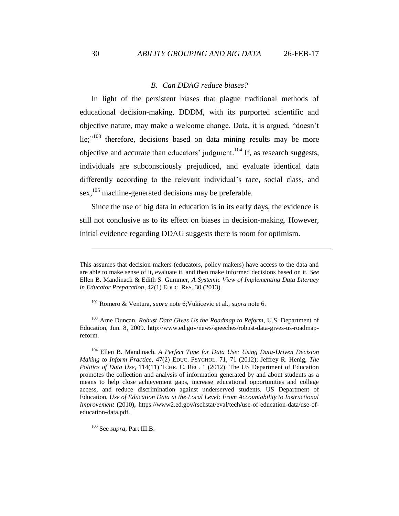#### *B. Can DDAG reduce biases?*

In light of the persistent biases that plague traditional methods of educational decision-making, DDDM, with its purported scientific and objective nature, may make a welcome change. Data, it is argued, "doesn't lie;" $103$  therefore, decisions based on data mining results may be more objective and accurate than educators' judgment.<sup>104</sup> If, as research suggests, individuals are subconsciously prejudiced, and evaluate identical data differently according to the relevant individual's race, social class, and sex, <sup>105</sup> machine-generated decisions may be preferable.

Since the use of big data in education is in its early days, the evidence is still not conclusive as to its effect on biases in decision-making. However, initial evidence regarding DDAG suggests there is room for optimism.

<sup>103</sup> Arne Duncan, *Robust Data Gives Us the Roadmap to Reform*, U.S. Department of Education, Jun. 8, 2009. http://www.ed.gov/news/speeches/robust-data-gives-us-roadmapreform.

<sup>104</sup> Ellen B. Mandinach, *A Perfect Time for Data Use: Using Data-Driven Decision Making to Inform Practice*, 47(2) EDUC. PSYCHOL. 71, 71 (2012); Jeffrey R. Henig, *The Politics of Data Use*, 114(11) TCHR. C. REC. 1 (2012). The US Department of Education promotes the collection and analysis of information generated by and about students as a means to help close achievement gaps, increase educational opportunities and college access, and reduce discrimination against underserved students. US Department of Education, *Use of Education Data at the Local Level: From Accountability to Instructional Improvement* (2010), https://www2.ed.gov/rschstat/eval/tech/use-of-education-data/use-ofeducation-data.pdf.

<sup>105</sup> See *supra*, Part III.B.

This assumes that decision makers (educators, policy makers) have access to the data and are able to make sense of it, evaluate it, and then make informed decisions based on it. *See* Ellen B. Mandinach & Edith S. Gummer, *A Systemic View of Implementing Data Literacy in Educator Preparation*, 42(1) EDUC. RES. 30 (2013).

<sup>102</sup> Romero & Ventura, *supra* note [6;](#page-3-0)Vukicevic et al., *supra* not[e 6.](#page-3-0)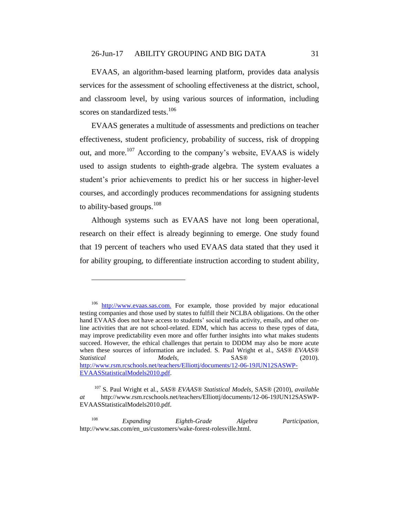EVAAS, an algorithm-based learning platform, provides data analysis services for the assessment of schooling effectiveness at the district, school, and classroom level, by using various sources of information, including scores on standardized tests.<sup>106</sup>

EVAAS generates a multitude of assessments and predictions on teacher effectiveness, student proficiency, probability of success, risk of dropping out, and more.<sup>107</sup> According to the company's website, EVAAS is widely used to assign students to eighth-grade algebra. The system evaluates a student's prior achievements to predict his or her success in higher-level courses, and accordingly produces recommendations for assigning students to ability-based groups.<sup>108</sup>

Although systems such as EVAAS have not long been operational, research on their effect is already beginning to emerge. One study found that 19 percent of teachers who used EVAAS data stated that they used it for ability grouping, to differentiate instruction according to student ability,

 $\overline{a}$ 

<sup>108</sup> *Expanding Eighth-Grade Algebra Participation,* http://www.sas.com/en\_us/customers/wake-forest-rolesville.html.

<sup>&</sup>lt;sup>106</sup> [http://www.evaas.sas.com.](http://www.evaas.sas.com/) For example, those provided by major educational testing companies and those used by states to fulfill their NCLBA obligations. On the other hand EVAAS does not have access to students' social media activity, emails, and other online activities that are not school-related. EDM, which has access to these types of data, may improve predictability even more and offer further insights into what makes students succeed. However, the ethical challenges that pertain to DDDM may also be more acute when these sources of information are included. S. Paul Wright et al., *SAS® EVAAS® Statistical Models*, SAS® (2010). [http://www.rsm.rcschools.net/teachers/Elliottj/documents/12-06-19JUN12SASWP-](http://www.rsm.rcschools.net/teachers/Elliottj/documents/12-06-19JUN12SASWP-EVAASStatisticalModels2010.pdf)[EVAASStatisticalModels2010.pdf.](http://www.rsm.rcschools.net/teachers/Elliottj/documents/12-06-19JUN12SASWP-EVAASStatisticalModels2010.pdf)

<sup>107</sup> S. Paul Wright et al., *SAS® EVAAS® Statistical Models*, SAS® (2010), *available at* http://www.rsm.rcschools.net/teachers/Elliottj/documents/12-06-19JUN12SASWP-EVAASStatisticalModels2010.pdf.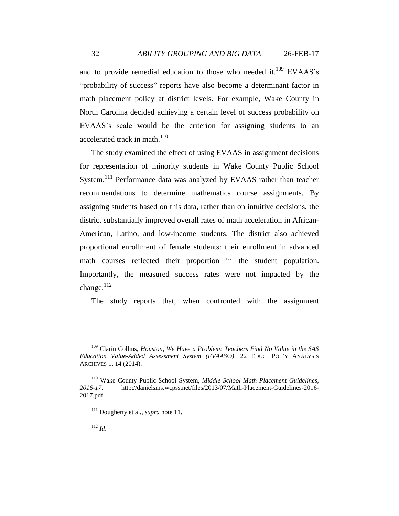and to provide remedial education to those who needed it.<sup>109</sup> EVAAS's "probability of success" reports have also become a determinant factor in math placement policy at district levels. For example, Wake County in North Carolina decided achieving a certain level of success probability on EVAAS's scale would be the criterion for assigning students to an accelerated track in math. $110$ 

The study examined the effect of using EVAAS in assignment decisions for representation of minority students in Wake County Public School System.<sup>111</sup> Performance data was analyzed by EVAAS rather than teacher recommendations to determine mathematics course assignments. By assigning students based on this data, rather than on intuitive decisions, the district substantially improved overall rates of math acceleration in African-American, Latino, and low-income students. The district also achieved proportional enrollment of female students: their enrollment in advanced math courses reflected their proportion in the student population. Importantly, the measured success rates were not impacted by the change.<sup>112</sup>

The study reports that, when confronted with the assignment

<sup>109</sup> Clarin Collins, *Houston*, *We Have a Problem: Teachers Find No Value in the SAS Education Value-Added Assessment System (EVAAS®)*, 22 EDUC. POL'Y ANALYSIS ARCHIVES 1, 14 (2014).

<sup>110</sup> Wake County Public School System, *Middle School Math Placement Guidelines, 2016-17.* http://danielsms.wcpss.net/files/2013/07/Math-Placement-Guidelines-2016- 2017.pdf.

<sup>111</sup> Dougherty et al., *supra* note [11.](#page-4-0) 

 $112$  *Id.*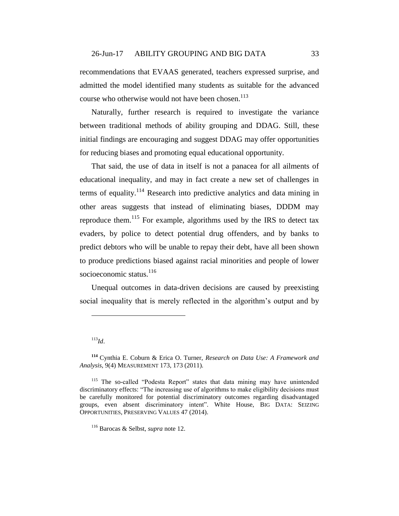recommendations that EVAAS generated, teachers expressed surprise, and admitted the model identified many students as suitable for the advanced course who otherwise would not have been chosen.<sup>113</sup>

Naturally, further research is required to investigate the variance between traditional methods of ability grouping and DDAG. Still, these initial findings are encouraging and suggest DDAG may offer opportunities for reducing biases and promoting equal educational opportunity.

That said, the use of data in itself is not a panacea for all ailments of educational inequality, and may in fact create a new set of challenges in terms of equality.<sup>114</sup> Research into predictive analytics and data mining in other areas suggests that instead of eliminating biases, DDDM may reproduce them.<sup>115</sup> For example, algorithms used by the IRS to detect tax evaders, by police to detect potential drug offenders, and by banks to predict debtors who will be unable to repay their debt, have all been shown to produce predictions biased against racial minorities and people of lower socioeconomic status. $116$ 

Unequal outcomes in data-driven decisions are caused by preexisting social inequality that is merely reflected in the algorithm's output and by

<sup>113</sup>*Id*.

**<sup>114</sup>** Cynthia E. Coburn & Erica O. Turner, *Research on Data Use: A Framework and Analysis*, 9(4) MEASUREMENT 173, 173 (2011).

<sup>&</sup>lt;sup>115</sup> The so-called "Podesta Report" states that data mining may have unintended discriminatory effects: "The increasing use of algorithms to make eligibility decisions must be carefully monitored for potential discriminatory outcomes regarding disadvantaged groups, even absent discriminatory intent". White House, BIG DATA: SEIZING OPPORTUNITIES, PRESERVING VALUES 47 (2014).

<sup>116</sup> Barocas & Selbst, *supra* note [12.](#page-5-0)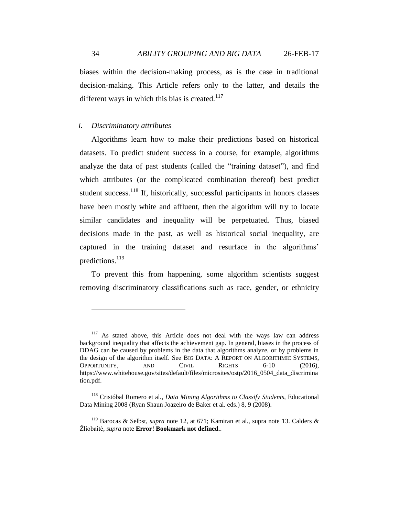biases within the decision-making process, as is the case in traditional decision-making. This Article refers only to the latter, and details the different ways in which this bias is created. $117$ 

#### *i. Discriminatory attributes*

Algorithms learn how to make their predictions based on historical datasets. To predict student success in a course, for example, algorithms analyze the data of past students (called the "training dataset"), and find which attributes (or the complicated combination thereof) best predict student success.<sup>118</sup> If, historically, successful participants in honors classes have been mostly white and affluent, then the algorithm will try to locate similar candidates and inequality will be perpetuated. Thus, biased decisions made in the past, as well as historical social inequality, are captured in the training dataset and resurface in the algorithms' predictions.<sup>119</sup>

To prevent this from happening, some algorithm scientists suggest removing discriminatory classifications such as race, gender, or ethnicity

<sup>&</sup>lt;sup>117</sup> As stated above, this Article does not deal with the ways law can address background inequality that affects the achievement gap. In general, biases in the process of DDAG can be caused by problems in the data that algorithms analyze, or by problems in the design of the algorithm itself. See BIG DATA: A REPORT ON ALGORITHMIC SYSTEMS, OPPORTUNITY, AND CIVIL RIGHTS 6-10 (2016), https://www.whitehouse.gov/sites/default/files/microsites/ostp/2016\_0504\_data\_discrimina tion.pdf.

<sup>118</sup> Cristóbal Romero et al., *Data Mining Algorithms to Classify Students*, Educational Data Mining 2008 (Ryan Shaun Joazeiro de Baker et al. eds.) 8, 9 (2008).

<sup>119</sup> Barocas & Selbst, *supra* note [12,](#page-5-0) at 671; Kamiran et al., supra note [13.](#page-5-1) Calders & Žliobaitė, *supra* note **Error! Bookmark not defined.**.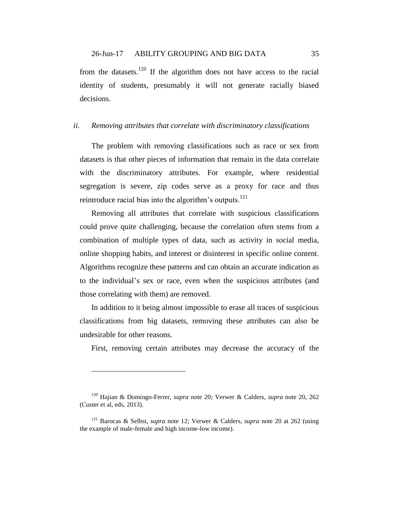### 26-Jun-17 ABILITY GROUPING AND BIG DATA 35

from the datasets.<sup>120</sup> If the algorithm does not have access to the racial identity of students, presumably it will not generate racially biased decisions.

#### *ii. Removing attributes that correlate with discriminatory classifications*

The problem with removing classifications such as race or sex from datasets is that other pieces of information that remain in the data correlate with the discriminatory attributes. For example, where residential segregation is severe, zip codes serve as a proxy for race and thus reintroduce racial bias into the algorithm's outputs. $121$ 

Removing all attributes that correlate with suspicious classifications could prove quite challenging, because the correlation often stems from a combination of multiple types of data, such as activity in social media, online shopping habits, and interest or disinterest in specific online content. Algorithms recognize these patterns and can obtain an accurate indication as to the individual's sex or race, even when the suspicious attributes (and those correlating with them) are removed.

In addition to it being almost impossible to erase all traces of suspicious classifications from big datasets, removing these attributes can also be undesirable for other reasons.

First, removing certain attributes may decrease the accuracy of the

<sup>120</sup> Hajian & Domingo-Ferrer, *supra* note [20;](#page-8-0) Verwer & Calders, *supra* note [20,](#page-8-0) 262 (Custer et al, eds, 2013).

<sup>121</sup> Barocas & Selbst, *supra* note [12;](#page-5-0) Verwer & Calders, *supra* note [20](#page-8-0) at 262 (using the example of male-female and high income-low income).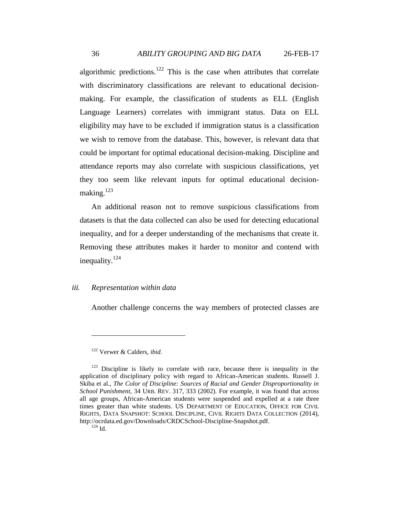algorithmic predictions.<sup>122</sup> This is the case when attributes that correlate with discriminatory classifications are relevant to educational decisionmaking. For example, the classification of students as ELL (English Language Learners) correlates with immigrant status. Data on ELL eligibility may have to be excluded if immigration status is a classification we wish to remove from the database. This, however, is relevant data that could be important for optimal educational decision-making. Discipline and attendance reports may also correlate with suspicious classifications, yet they too seem like relevant inputs for optimal educational decisionmaking.<sup>123</sup>

An additional reason not to remove suspicious classifications from datasets is that the data collected can also be used for detecting educational inequality, and for a deeper understanding of the mechanisms that create it. Removing these attributes makes it harder to monitor and contend with inequality.<sup>124</sup>

## *iii. Representation within data*

Another challenge concerns the way members of protected classes are

<sup>122</sup> Verwer & Calders, *ibid*.

<sup>&</sup>lt;sup>123</sup> Discipline is likely to correlate with race, because there is inequality in the application of disciplinary policy with regard to African-American students. Russell J. Skiba et al., *The Color of Discipline: Sources of Racial and Gender Disproportionality in School Punishment*, 34 URB. REV. 317, 333 (2002). For example, it was found that across all age groups, African-American students were suspended and expelled at a rate three times greater than white students. US DEPARTMENT OF EDUCATION, OFFICE FOR CIVIL RIGHTS, DATA SNAPSHOT: SCHOOL DISCIPLINE, CIVIL RIGHTS DATA COLLECTION (2014), http://ocrdata.ed.gov/Downloads/CRDCSchool-Discipline-Snapshot.pdf.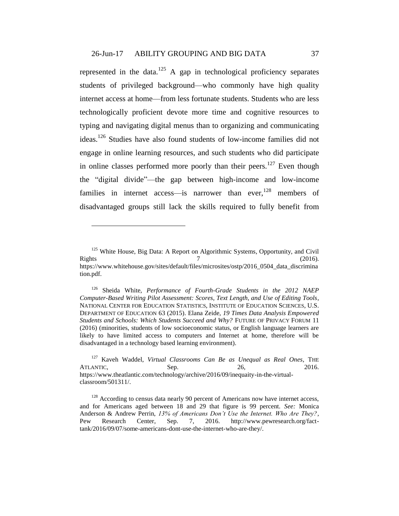represented in the data.<sup>125</sup> A gap in technological proficiency separates students of privileged background—who commonly have high quality internet access at home—from less fortunate students. Students who are less technologically proficient devote more time and cognitive resources to typing and navigating digital menus than to organizing and communicating ideas.<sup>126</sup> Studies have also found students of low-income families did not engage in online learning resources, and such students who did participate in online classes performed more poorly than their peers.<sup>127</sup> Even though the "digital divide"—the gap between high-income and low-income families in internet access—is narrower than ever, $128$  members of disadvantaged groups still lack the skills required to fully benefit from

<span id="page-36-0"></span><sup>&</sup>lt;sup>125</sup> White House, Big Data: A Report on Algorithmic Systems, Opportunity, and Civil Rights  $\frac{7}{2016}$ . https://www.whitehouse.gov/sites/default/files/microsites/ostp/2016\_0504\_data\_discrimina tion.pdf.

<sup>126</sup> Sheida White, *Performance of Fourth-Grade Students in the 2012 NAEP Computer-Based Writing Pilot Assessment: Scores, Text Length, and Use of Editing Tools*, NATIONAL CENTER FOR EDUCATION STATISTICS, INSTITUTE OF EDUCATION SCIENCES, U.S. DEPARTMENT OF EDUCATION 63 (2015). Elana Zeide, *19 Times Data Analysis Empowered Students and Schools: Which Students Succeed and Why?* FUTURE OF PRIVACY FORUM 11 (2016) (minorities, students of low socioeconomic status, or English language learners are likely to have limited access to computers and Internet at home, therefore will be disadvantaged in a technology based learning environment).

<sup>127</sup> Kaveh Waddel, *Virtual Classrooms Can Be as Unequal as Real Ones*, THE ATLANTIC, Sep. 8. 2016. https://www.theatlantic.com/technology/archive/2016/09/inequaity-in-the-virtualclassroom/501311/.

<sup>&</sup>lt;sup>128</sup> According to census data nearly 90 percent of Americans now have internet access, and for Americans aged between 18 and 29 that figure is 99 percent. *See:* Monica Anderson & Andrew Perrin, *13% of Americans Don't Use the Internet. Who Are They?*, Pew Research Center, Sep. 7, 2016. http://www.pewresearch.org/facttank/2016/09/07/some-americans-dont-use-the-internet-who-are-they/.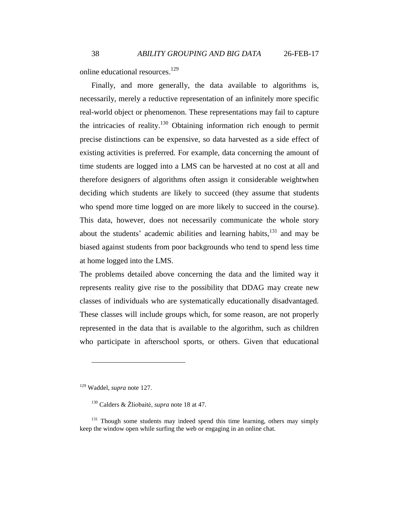online educational resources. 129

Finally, and more generally, the data available to algorithms is, necessarily, merely a reductive representation of an infinitely more specific real-world object or phenomenon. These representations may fail to capture the intricacies of reality.<sup>130</sup> Obtaining information rich enough to permit precise distinctions can be expensive, so data harvested as a side effect of existing activities is preferred. For example, data concerning the amount of time students are logged into a LMS can be harvested at no cost at all and therefore designers of algorithms often assign it considerable weightwhen deciding which students are likely to succeed (they assume that students who spend more time logged on are more likely to succeed in the course). This data, however, does not necessarily communicate the whole story about the students' academic abilities and learning habits, $131$  and may be biased against students from poor backgrounds who tend to spend less time at home logged into the LMS.

The problems detailed above concerning the data and the limited way it represents reality give rise to the possibility that DDAG may create new classes of individuals who are systematically educationally disadvantaged. These classes will include groups which, for some reason, are not properly represented in the data that is available to the algorithm, such as children who participate in afterschool sports, or others. Given that educational

<sup>129</sup> Waddel, *supra* not[e 127.](#page-36-0)

<sup>130</sup> Calders & Žliobaitė, *supra* note [18](#page-8-1) at 47.

 $131$  Though some students may indeed spend this time learning, others may simply keep the window open while surfing the web or engaging in an online chat.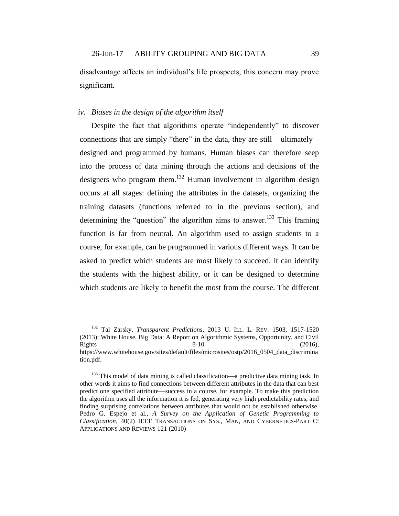disadvantage affects an individual's life prospects, this concern may prove significant.

### *iv. Biases in the design of the algorithm itself*

 $\overline{a}$ 

<span id="page-38-0"></span>Despite the fact that algorithms operate "independently" to discover connections that are simply "there" in the data, they are still – ultimately – designed and programmed by humans. Human biases can therefore seep into the process of data mining through the actions and decisions of the designers who program them.<sup>132</sup> Human involvement in algorithm design occurs at all stages: defining the attributes in the datasets, organizing the training datasets (functions referred to in the previous section), and determining the "question" the algorithm aims to answer.<sup>133</sup> This framing function is far from neutral. An algorithm used to assign students to a course, for example, can be programmed in various different ways. It can be asked to predict which students are most likely to succeed, it can identify the students with the highest ability, or it can be designed to determine which students are likely to benefit the most from the course. The different

<sup>132</sup> Tal Zarsky, *Transparent Predictions*, 2013 U. ILL. L. REV. 1503, 1517-1520 (2013); White House, Big Data: A Report on Algorithmic Systems, Opportunity, and Civil Rights  $8-10$  (2016), https://www.whitehouse.gov/sites/default/files/microsites/ostp/2016\_0504\_data\_discrimina tion.pdf.

 $133$  This model of data mining is called classification—a predictive data mining task. In other words it aims to find connections between different attributes in the data that can best predict one specified attribute—success in a course, for example. To make this prediction the algorithm uses all the information it is fed, generating very high predictability rates, and finding surprising correlations between attributes that would not be established otherwise. Pedro G. Espejo et al., *A Survey on the Application of Genetic Programming to Classification*, 40(2) IEEE TRANSACTIONS ON SYS., MAN, AND CYBERNETICS-PART C: APPLICATIONS AND REVIEWS 121 (2010)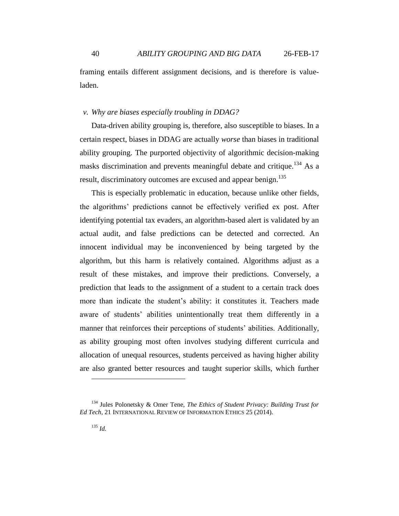framing entails different assignment decisions, and is therefore is valueladen.

#### *v. Why are biases especially troubling in DDAG?*

Data-driven ability grouping is, therefore, also susceptible to biases. In a certain respect, biases in DDAG are actually *worse* than biases in traditional ability grouping. The purported objectivity of algorithmic decision-making masks discrimination and prevents meaningful debate and critique.<sup>134</sup> As a result, discriminatory outcomes are excused and appear benign.<sup>135</sup>

This is especially problematic in education, because unlike other fields, the algorithms' predictions cannot be effectively verified ex post. After identifying potential tax evaders, an algorithm-based alert is validated by an actual audit, and false predictions can be detected and corrected. An innocent individual may be inconvenienced by being targeted by the algorithm, but this harm is relatively contained. Algorithms adjust as a result of these mistakes, and improve their predictions. Conversely, a prediction that leads to the assignment of a student to a certain track does more than indicate the student's ability: it constitutes it. Teachers made aware of students' abilities unintentionally treat them differently in a manner that reinforces their perceptions of students' abilities. Additionally, as ability grouping most often involves studying different curricula and allocation of unequal resources, students perceived as having higher ability are also granted better resources and taught superior skills, which further

<sup>134</sup> Jules Polonetsky & Omer Tene, *The Ethics of Student Privacy: Building Trust for Ed Tech,* 21 INTERNATIONAL REVIEW OF INFORMATION ETHICS 25 (2014).

 $^{135}$  *Id.*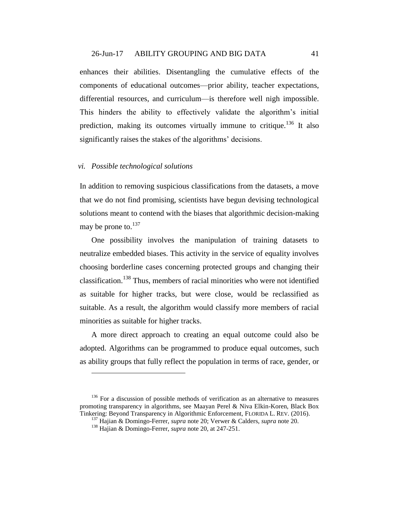### 26-Jun-17 ABILITY GROUPING AND BIG DATA 41

enhances their abilities. Disentangling the cumulative effects of the components of educational outcomes—prior ability, teacher expectations, differential resources, and curriculum—is therefore well nigh impossible. This hinders the ability to effectively validate the algorithm's initial prediction, making its outcomes virtually immune to critique.<sup>136</sup> It also significantly raises the stakes of the algorithms' decisions.

## *vi. Possible technological solutions*

 $\overline{a}$ 

In addition to removing suspicious classifications from the datasets, a move that we do not find promising, scientists have begun devising technological solutions meant to contend with the biases that algorithmic decision-making may be prone to.<sup>137</sup>

One possibility involves the manipulation of training datasets to neutralize embedded biases. This activity in the service of equality involves choosing borderline cases concerning protected groups and changing their classification.<sup>138</sup> Thus, members of racial minorities who were not identified as suitable for higher tracks, but were close, would be reclassified as suitable. As a result, the algorithm would classify more members of racial minorities as suitable for higher tracks.

A more direct approach to creating an equal outcome could also be adopted. Algorithms can be programmed to produce equal outcomes, such as ability groups that fully reflect the population in terms of race, gender, or

 $136$  For a discussion of possible methods of verification as an alternative to measures promoting transparency in algorithms, see Maayan [Perel & Niva Elkin-Koren,](http://papers.ssrn.com/sol3/papers.cfm?abstract_id=2741513) Black Box Tinkering: Beyond Transparency in Algorithmic Enforcement, FLORIDA L. REV. (2016).

<sup>137</sup> Hajian & Domingo-Ferrer, *supra* not[e 20;](#page-8-0) Verwer & Calders, *supra* note [20.](#page-8-0)

<sup>138</sup> Hajian & Domingo-Ferrer, *supra* not[e 20,](#page-8-0) at 247-251.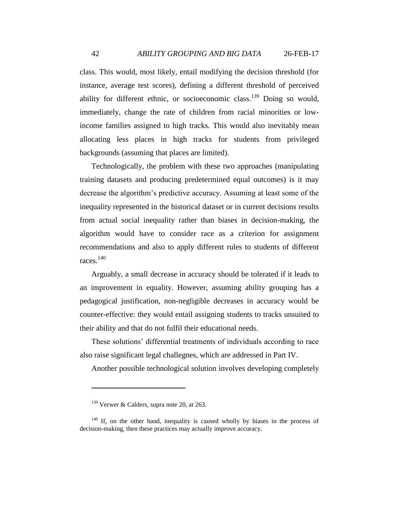class. This would, most likely, entail modifying the decision threshold (for instance, average test scores), defining a different threshold of perceived ability for different ethnic, or socioeconomic class.<sup>139</sup> Doing so would, immediately, change the rate of children from racial minorities or lowincome families assigned to high tracks. This would also inevitably mean allocating less places in high tracks for students from privileged backgrounds (assuming that places are limited).

Technologically, the problem with these two approaches (manipulating training datasets and producing predetermined equal outcomes) is it may decrease the algorithm's predictive accuracy. Assuming at least some of the inequality represented in the historical dataset or in current decisions results from actual social inequality rather than biases in decision-making, the algorithm would have to consider race as a criterion for assignment recommendations and also to apply different rules to students of different races.<sup>140</sup>

Arguably, a small decrease in accuracy should be tolerated if it leads to an improvement in equality. However, assuming ability grouping has a pedagogical justification, non-negligible decreases in accuracy would be counter-effective: they would entail assigning students to tracks unsuited to their ability and that do not fulfil their educational needs.

These solutions' differential treatments of individuals according to race also raise significant legal challegnes, which are addressed in Part IV.

Another possible technological solution involves developing completely

 $139$  Verwer & Calders, supra note [20,](#page-8-0) at 263.

 $140$  If, on the other hand, inequality is caused wholly by biases in the process of decision-making, then these practices may actually improve accuracy.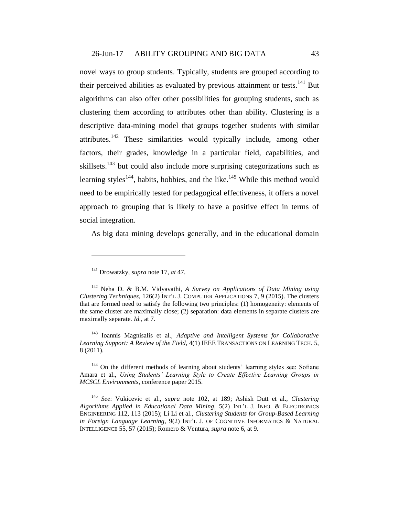novel ways to group students. Typically, students are grouped according to their perceived abilities as evaluated by previous attainment or tests.<sup>141</sup> But algorithms can also offer other possibilities for grouping students, such as clustering them according to attributes other than ability. Clustering is a descriptive data-mining model that groups together students with similar attributes.<sup>142</sup> These similarities would typically include, among other factors, their grades, knowledge in a particular field, capabilities, and skillsets.<sup>143</sup> but could also include more surprising categorizations such as learning styles<sup>144</sup>, habits, hobbies, and the like.<sup>145</sup> While this method would need to be empirically tested for pedagogical effectiveness, it offers a novel approach to grouping that is likely to have a positive effect in terms of social integration.

As big data mining develops generally, and in the educational domain

 $\overline{a}$ 

<sup>143</sup> Ioannis Magnisalis et al., *Adaptive and Intelligent Systems for Collaborative Learning Support: A Review of the Field*, 4(1) IEEE TRANSACTIONS ON LEARNING TECH. 5, 8 (2011).

<sup>144</sup> On the different methods of learning about students' learning styles see: Sofiane Amara et al., *Using Students' Learning Style to Create Effective Learning Groups in MCSCL Environments*, conference paper 2015.

<sup>141</sup> Drowatzky, *supra* note 17, *at* 47.

<sup>142</sup> Neha D. & B.M. Vidyavathi, *A Survey on Applications of Data Mining using Clustering Techniques*, 126(2) INT'L J. COMPUTER APPLICATIONS 7, 9 (2015). The clusters that are formed need to satisfy the following two principles: (1) homogeneity: elements of the same cluster are maximally close; (2) separation: data elements in separate clusters are maximally separate. *Id.*, at 7.

<sup>145</sup> *See*: Vukicevic et al., *supra* note [102,](#page-28-0) at 189; Ashish Dutt et al., *Clustering Algorithms Applied in Educational Data Mining*, 5(2) INT'L J. INFO. & ELECTRONICS ENGINEERING 112, 113 (2015); Li Li et al., *Clustering Students for Group-Based Learning in Foreign Language Learning*, 9(2) INT'L J. OF COGNITIVE INFORMATICS & NATURAL INTELLIGENCE 55, 57 (2015); Romero & Ventura, *supra* not[e 6,](#page-3-0) at 9.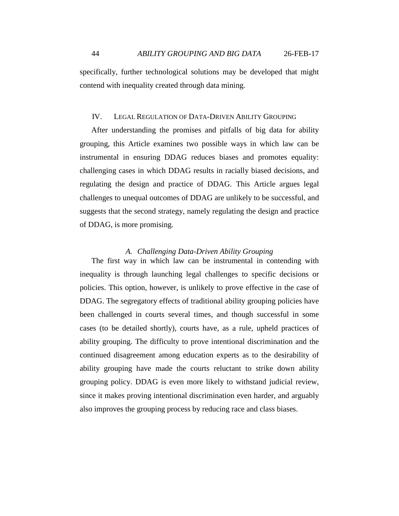specifically, further technological solutions may be developed that might contend with inequality created through data mining.

#### IV. LEGAL REGULATION OF DATA-DRIVEN ABILITY GROUPING

After understanding the promises and pitfalls of big data for ability grouping, this Article examines two possible ways in which law can be instrumental in ensuring DDAG reduces biases and promotes equality: challenging cases in which DDAG results in racially biased decisions, and regulating the design and practice of DDAG. This Article argues legal challenges to unequal outcomes of DDAG are unlikely to be successful, and suggests that the second strategy, namely regulating the design and practice of DDAG, is more promising.

#### *A. Challenging Data-Driven Ability Grouping*

The first way in which law can be instrumental in contending with inequality is through launching legal challenges to specific decisions or policies. This option, however, is unlikely to prove effective in the case of DDAG. The segregatory effects of traditional ability grouping policies have been challenged in courts several times, and though successful in some cases (to be detailed shortly), courts have, as a rule, upheld practices of ability grouping. The difficulty to prove intentional discrimination and the continued disagreement among education experts as to the desirability of ability grouping have made the courts reluctant to strike down ability grouping policy. DDAG is even more likely to withstand judicial review, since it makes proving intentional discrimination even harder, and arguably also improves the grouping process by reducing race and class biases.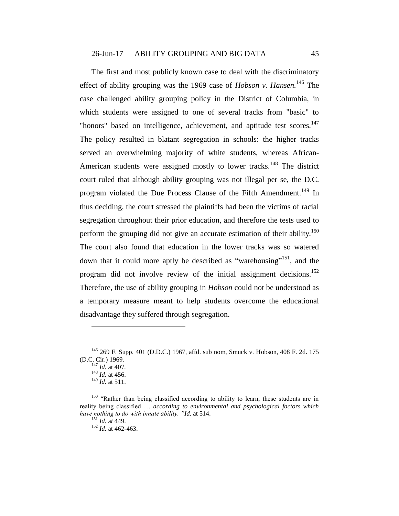<span id="page-44-0"></span>The first and most publicly known case to deal with the discriminatory effect of ability grouping was the 1969 case of *Hobson v. Hansen*.<sup>146</sup> The case challenged ability grouping policy in the District of Columbia, in which students were assigned to one of several tracks from "basic" to "honors" based on intelligence, achievement, and aptitude test scores.<sup>147</sup> The policy resulted in blatant segregation in schools: the higher tracks served an overwhelming majority of white students, whereas African-American students were assigned mostly to lower tracks.<sup>148</sup> The district court ruled that although ability grouping was not illegal per se, the D.C. program violated the Due Process Clause of the Fifth Amendment.<sup>149</sup> In thus deciding, the court stressed the plaintiffs had been the victims of racial segregation throughout their prior education, and therefore the tests used to perform the grouping did not give an accurate estimation of their ability.<sup>150</sup> The court also found that education in the lower tracks was so watered down that it could more aptly be described as "warehousing"<sup>151</sup>, and the program did not involve review of the initial assignment decisions.<sup>152</sup> Therefore, the use of ability grouping in *Hobson* could not be understood as a temporary measure meant to help students overcome the educational disadvantage they suffered through segregation.

<sup>146</sup> 269 F. Supp. 401 (D.D.C.) 1967, affd. sub nom, Smuck v. Hobson, 408 F. 2d. 175 (D.C. Cir.) 1969.

 $147$  *Id.* at 407.

 $148$  *Id.* at 456.

<sup>149</sup> *Id.* at 511.

<sup>&</sup>lt;sup>150</sup> "Rather than being classified according to ability to learn, these students are in reality being classified … *according to environmental and psychological factors which have nothing to do with innate ability. "Id*. at 514.

<sup>151</sup> *Id.* a*t* 449.

<sup>152</sup> *Id.* at 462-463.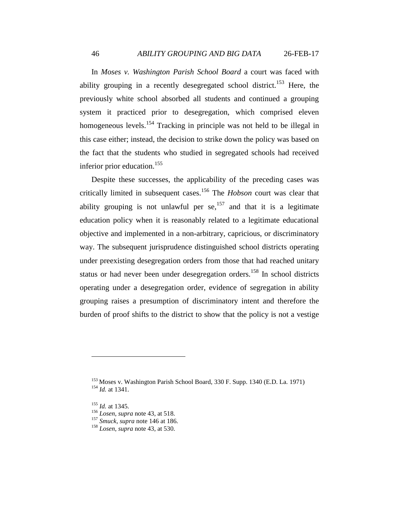In *Moses v. Washington Parish School Board* a court was faced with ability grouping in a recently desegregated school district.<sup>153</sup> Here, the previously white school absorbed all students and continued a grouping system it practiced prior to desegregation, which comprised eleven homogeneous levels.<sup>154</sup> Tracking in principle was not held to be illegal in this case either; instead, the decision to strike down the policy was based on the fact that the students who studied in segregated schools had received inferior prior education. 155

Despite these successes, the applicability of the preceding cases was critically limited in subsequent cases. <sup>156</sup> The *Hobson* court was clear that ability grouping is not unlawful per  $se^{157}$ , and that it is a legitimate education policy when it is reasonably related to a legitimate educational objective and implemented in a non-arbitrary, capricious, or discriminatory way. The subsequent jurisprudence distinguished school districts operating under preexisting desegregation orders from those that had reached unitary status or had never been under desegregation orders.<sup>158</sup> In school districts operating under a desegregation order, evidence of segregation in ability grouping raises a presumption of discriminatory intent and therefore the burden of proof shifts to the district to show that the policy is not a vestige

 $153$  Moses v. Washington Parish School Board, 330 F. Supp. 1340 (E.D. La. 1971) <sup>154</sup> *Id.* at 1341.

<sup>155</sup> *Id.* at 1345.

<sup>156</sup> *Losen*, *supra* not[e 43,](#page-16-0) at 518.

<sup>157</sup> *Smuck, supra* not[e 146](#page-44-0) at 186.

<sup>158</sup> *Losen*, *supra* not[e 43,](#page-16-0) at 530.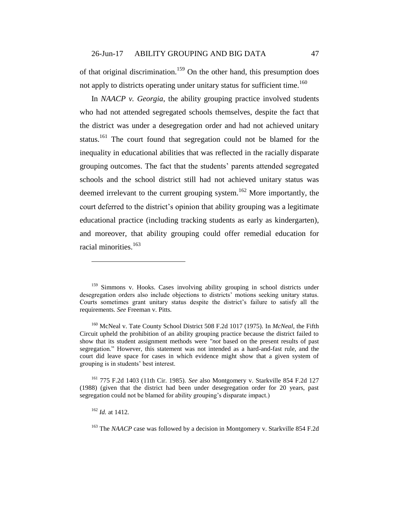of that original discrimination.<sup>159</sup> On the other hand, this presumption does not apply to districts operating under unitary status for sufficient time.<sup>160</sup>

<span id="page-46-0"></span>In *NAACP v. Georgia*, the ability grouping practice involved students who had not attended segregated schools themselves, despite the fact that the district was under a desegregation order and had not achieved unitary status.<sup>161</sup> The court found that segregation could not be blamed for the inequality in educational abilities that was reflected in the racially disparate grouping outcomes. The fact that the students' parents attended segregated schools and the school district still had not achieved unitary status was deemed irrelevant to the current grouping system.<sup>162</sup> More importantly, the court deferred to the district's opinion that ability grouping was a legitimate educational practice (including tracking students as early as kindergarten), and moreover, that ability grouping could offer remedial education for racial minorities. 163

<sup>&</sup>lt;sup>159</sup> Simmons v. Hooks. Cases involving ability grouping in school districts under desegregation orders also include objections to districts' motions seeking unitary status. Courts sometimes grant unitary status despite the district's failure to satisfy all the requirements. *See* Freeman v. Pitts*.*

<sup>160</sup> McNeal v. Tate County School District 508 F.2d 1017 (1975). In *McNeal,* the Fifth Circuit upheld the prohibition of an ability grouping practice because the district failed to show that its student assignment methods were *"not* based on the present results of past segregation." However, this statement was not intended as a hard-and-fast rule, and the court did leave space for cases in which evidence might show that a given system of grouping is in students' best interest.

<sup>161</sup> 775 F.2d 1403 (11th Cir. 1985). *See* also Montgomery v. Starkville 854 F.2d 127 (1988) (given that the district had been under desegregation order for 20 years, past segregation could not be blamed for ability grouping's disparate impact.)

<sup>162</sup> *Id.* at 1412.

<sup>&</sup>lt;sup>163</sup> The *NAACP* case was followed by a decision in Montgomery v. Starkville 854 F.2d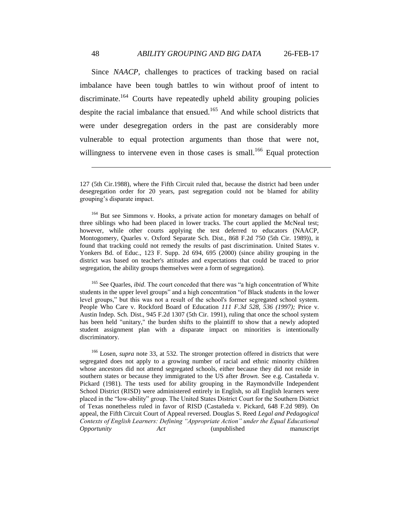Since *NAACP*, challenges to practices of tracking based on racial imbalance have been tough battles to win without proof of intent to discriminate.<sup>164</sup> Courts have repeatedly upheld ability grouping policies despite the racial imbalance that ensued.<sup>165</sup> And while school districts that were under desegregation orders in the past are considerably more vulnerable to equal protection arguments than those that were not, willingness to intervene even in those cases is small.<sup>166</sup> Equal protection

<sup>164</sup> But see Simmons v. Hooks*,* a private action for monetary damages on behalf of three siblings who had been placed in lower tracks. The court applied the McNeal test; however, while other courts applying the test deferred to educators (NAACP, Montogomery, Quarles v. Oxford Separate Sch. Dist., 868 F.2d 750 (5th Cir. 1989)), it found that tracking could not remedy the results of past discrimination. United States v. Yonkers Bd. of Educ., 123 F. Supp. 2d 694, 695 (2000) (since ability grouping in the district was based on teacher's attitudes and expectations that could be traced to prior segregation, the ability groups themselves were a form of segregation).

<sup>165</sup> See Quarles, *ibid*. The court conceded that there was "a high concentration of White students in the upper level groups" and a high concentration "of Black students in the lower level groups," but this was not a result of the school's former segregated school system. People Who Care v. Rockford Board of Education *111 F.3d 528, 536 (1997);* Price v. Austin Indep. Sch. Dist., 945 F.2d 1307 (5th Cir. 1991), ruling that once the school system has been held "unitary," the burden shifts to the plaintiff to show that a newly adopted student assignment plan with a disparate impact on minorities is intentionally discriminatory.

<sup>166</sup> Losen, *supra* note 33, at 532. The stronger protection offered in districts that were segregated does not apply to a growing number of racial and ethnic minority children whose ancestors did not attend segregated schools, either because they did not reside in southern states or because they immigrated to the US after *Brown.* See e.g. Castañeda v. Pickard (1981). The tests used for ability grouping in the Raymondville Independent School District (RISD) were administered entirely in English, so all English learners were placed in the "low-ability" group. The United States District Court for the Southern District of Texas nonetheless ruled in favor of RISD (Castañeda v. Pickard, 648 F.2d 989). On appeal, the Fifth Circuit Court of Appeal reversed. Douglas S. Reed *Legal and Pedagogical Contexts of English Learners: Defining "Appropriate Action" under the Equal Educational Opportunity Act* (unpublished manuscript

<sup>127 (5</sup>th Cir.1988), where the Fifth Circuit ruled that, because the district had been under desegregation order for 20 years, past segregation could not be blamed for ability grouping's disparate impact.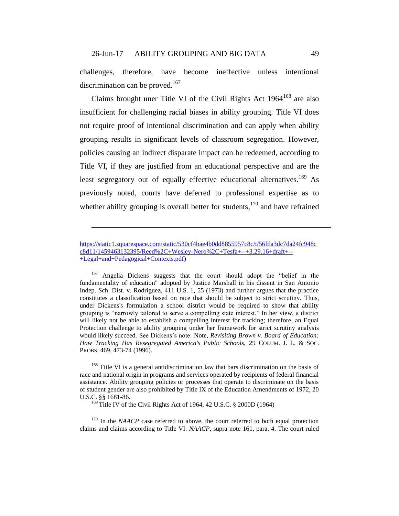<span id="page-48-0"></span>challenges, therefore, have become ineffective unless intentional discrimination can be proved.<sup>167</sup>

Claims brought uner Title VI of the Civil Rights Act  $1964^{168}$  are also insufficient for challenging racial biases in ability grouping. Title VI does not require proof of intentional discrimination and can apply when ability grouping results in significant levels of classroom segregation. However, policies causing an indirect disparate impact can be redeemed, according to Title VI, if they are justified from an educational perspective and are the least segregatory out of equally effective educational alternatives.<sup>169</sup> As previously noted, courts have deferred to professional expertise as to whether ability grouping is overall better for students,  $170$  and have refrained

 $\overline{a}$ 

<sup>167</sup> Angelia Dickens suggests that the court should adopt the "belief in the fundamentality of education" adopted by Justice Marshall in his dissent in San Antonio Indep. Sch. Dist. v. Rodriguez, 411 U.S. 1, 55 (1973) and further argues that the practice constitutes a classification based on race that should be subject to strict scrutiny. Thus, under Dickens's formulation a school district would be required to show that ability grouping is "narrowly tailored to serve a compelling state interest." In her view, a district will likely not be able to establish a compelling interest for tracking; therefore, an Equal Protection challenge to ability grouping under her framework for strict scrutiny analysis would likely succeed. See Dickens's note: Note, *Revisiting Brown v. Board of Education: How Tracking Has Resegregated America's Public Schools,* 29 COLUM. J. L. & SOC. PROBS. 469, 473-74 (1996).

<sup>168</sup> Title VI is a general antidiscrimination law that bars discrimination on the basis of race and national origin in programs and services operated by recipients of federal financial assistance. Ability grouping policies or processes that operate to discriminate on the basis of student gender are also prohibited by Title IX of the Education Amendments of 1972, 20 U.S.C. §§ 1681-86.

<sup>169</sup> Title IV of the Civil Rights Act of 1964, 42 U.S.C. § 2000D (1964)

<sup>170</sup> In the *NAACP* case referred to above, the court referred to both equal protection claims and claims according to Title VI. *NAACP*, supra note [161,](#page-46-0) para. 4. The court ruled

[https://static1.squarespace.com/static/530cf4bae4b0dd8855957c8c/t/56fda3dc7da24fc948c](https://static1.squarespace.com/static/530cf4bae4b0dd8855957c8c/t/56fda3dc7da24fc948cc8d11/1459463132395/Reed%2C+Wesley-Nero%2C+Tesfa+--+3.29.16+draft+--+Legal+and+Pedagogical+Contexts.pdf) [c8d11/1459463132395/Reed%2C+Wesley-Nero%2C+Tesfa+--+3.29.16+draft+--](https://static1.squarespace.com/static/530cf4bae4b0dd8855957c8c/t/56fda3dc7da24fc948cc8d11/1459463132395/Reed%2C+Wesley-Nero%2C+Tesfa+--+3.29.16+draft+--+Legal+and+Pedagogical+Contexts.pdf) [+Legal+and+Pedagogical+Contexts.pdf\)](https://static1.squarespace.com/static/530cf4bae4b0dd8855957c8c/t/56fda3dc7da24fc948cc8d11/1459463132395/Reed%2C+Wesley-Nero%2C+Tesfa+--+3.29.16+draft+--+Legal+and+Pedagogical+Contexts.pdf)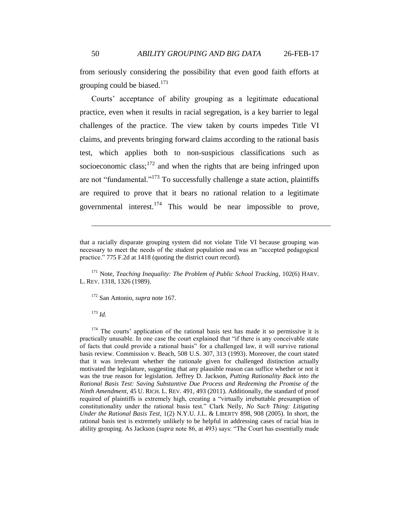from seriously considering the possibility that even good faith efforts at grouping could be biased. $171$ 

Courts' acceptance of ability grouping as a legitimate educational practice, even when it results in racial segregation, is a key barrier to legal challenges of the practice. The view taken by courts impedes Title VI claims, and prevents bringing forward claims according to the rational basis test, which applies both to non-suspicious classifications such as socioeconomic class;  $172$  and when the rights that are being infringed upon are not "fundamental."<sup>173</sup> To successfully challenge a state action, plaintiffs are required to prove that it bears no rational relation to a legitimate governmental interest.<sup>174</sup> This would be near impossible to prove,

<sup>171</sup> Note, *Teaching Inequality: The Problem of Public School Tracking*, 102(6) HARV. L. REV. 1318, 1326 (1989).

<sup>172</sup> San Antonio, *supra* note [167.](#page-48-0)

<sup>173</sup> *Id.*

 $\overline{a}$ 

 $174$  The courts' application of the rational basis test has made it so permissive it is practically unusable. In one case the court explained that "if there is any conceivable state of facts that could provide a rational basis" for a challenged law, it will survive rational basis review. Commission v. Beach, 508 U.S. 307, 313 (1993). Moreover, the court stated that it was irrelevant whether the rationale given for challenged distinction actually motivated the legislature, suggesting that any plausible reason can suffice whether or not it was the true reason for legislation. Jeffrey D. Jackson, *Putting Rationality Back into the Rational Basis Test: Saving Substantive Due Process and Redeeming the Promise of the Ninth Amendment*, 45 U. RICH. L. REV. 491, 493 (2011). Additionally, the standard of proof required of plaintiffs is extremely high, creating a "virtually irrebuttable presumption of constitutionality under the rational basis test." Clark Neily, *No Such Thing: Litigating Under the Rational Basis Test*, 1(2) N.Y.U. J.L. & LIBERTY 898, 908 (2005). In short, the rational basis test is extremely unlikely to be helpful in addressing cases of racial bias in ability grouping. As Jackson (*supra* note 86, at 493) says: "The Court has essentially made

that a racially disparate grouping system did not violate Title VI because grouping was necessary to meet the needs of the student population and was an "accepted pedagogical practice." 775 F.2d at 1418 (quoting the district court record).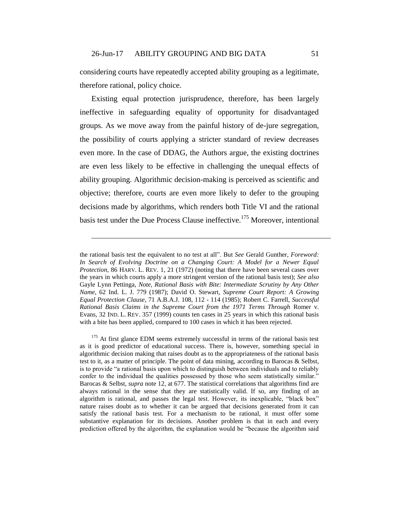considering courts have repeatedly accepted ability grouping as a legitimate, therefore rational, policy choice.

Existing equal protection jurisprudence, therefore, has been largely ineffective in safeguarding equality of opportunity for disadvantaged groups. As we move away from the painful history of de-jure segregation, the possibility of courts applying a stricter standard of review decreases even more. In the case of DDAG, the Authors argue, the existing doctrines are even less likely to be effective in challenging the unequal effects of ability grouping. Algorithmic decision-making is perceived as scientific and objective; therefore, courts are even more likely to defer to the grouping decisions made by algorithms, which renders both Title VI and the rational basis test under the Due Process Clause ineffective.<sup>175</sup> Moreover, intentional

 $\overline{a}$ 

<sup>175</sup> At first glance EDM seems extremely successful in terms of the rational basis test as it is good predictor of educational success. There is, however, something special in algorithmic decision making that raises doubt as to the appropriateness of the rational basis test to it, as a matter of principle. The point of data mining, according to Barocas & Selbst, is to provide "a rational basis upon which to distinguish between individuals and to reliably confer to the individual the qualities possessed by those who seem statistically similar." Barocas & Selbst, *supra* note [12,](#page-5-0) at 677. The statistical correlations that algorithms find are always rational in the sense that they are statistically valid. If so, any finding of an algorithm is rational, and passes the legal test. However, its inexplicable, "black box" nature raises doubt as to whether it can be argued that decisions generated from it can satisfy the rational basis test. For a mechanism to be rational, it must offer some substantive explanation for its decisions. Another problem is that in each and every prediction offered by the algorithm, the explanation would be "because the algorithm said

the rational basis test the equivalent to no test at all". But *See* Gerald Gunther, *Foreword: In Search of Evolving Doctrine on a Changing Court: A Model for a Newer Equal Protection*, 86 HARV. L. REV. 1, 21 (1972) (noting that there have been several cases over the years in which courts apply a more stringent version of the rational basis test); *See also* Gayle Lynn Pettinga, *Note, Rational Basis with Bite: Intermediate Scrutiny by Any Other Name*, 62 Ind. L. J. 779 (1987); David O. Stewart, *Supreme Court Report: A Growing Equal Protection Clause*, 71 A.B.A.J. 108, 112 - 114 (1985); Robert C. Farrell, *Successful Rational Basis Claims in the Supreme Court from the 1971 Terms Through* Romer v. Evans, 32 IND. L. REV. 357 (1999) counts ten cases in 25 years in which this rational basis with a bite has been applied, compared to 100 cases in which it has been rejected.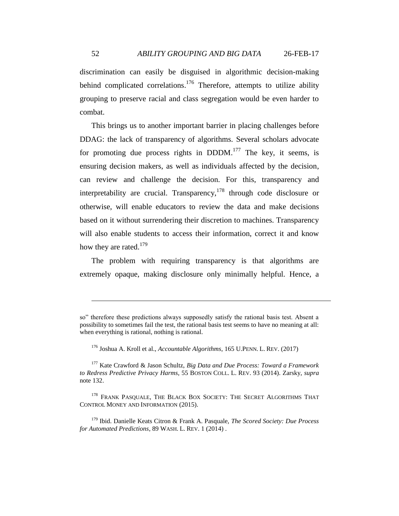discrimination can easily be disguised in algorithmic decision-making behind complicated correlations.<sup>176</sup> Therefore, attempts to utilize ability grouping to preserve racial and class segregation would be even harder to combat.

<span id="page-51-0"></span>This brings us to another important barrier in placing challenges before DDAG: the lack of transparency of algorithms. Several scholars advocate for promoting due process rights in  $DDDM$ .<sup>177</sup> The key, it seems, is ensuring decision makers, as well as individuals affected by the decision, can review and challenge the decision. For this, transparency and interpretability are crucial. Transparency,  $178$  through code disclosure or otherwise, will enable educators to review the data and make decisions based on it without surrendering their discretion to machines. Transparency will also enable students to access their information, correct it and know how they are rated.<sup>179</sup>

The problem with requiring transparency is that algorithms are extremely opaque, making disclosure only minimally helpful. Hence, a

so" therefore these predictions always supposedly satisfy the rational basis test. Absent a possibility to sometimes fail the test, the rational basis test seems to have no meaning at all: when everything is rational, nothing is rational.

<sup>176</sup> Joshua A. Kroll et al., *Accountable Algorithms*, 165 U.PENN. L. REV. (2017)

<sup>177</sup> Kate Crawford & Jason Schultz, *Big Data and Due Process: Toward a Framework to Redress Predictive Privacy Harms*, 55 BOSTON COLL. L. REV. 93 (2014). Zarsky, *supra* note [132.](#page-38-0)

<sup>&</sup>lt;sup>178</sup> FRANK PASQUALE, THE BLACK BOX SOCIETY: THE SECRET ALGORITHMS THAT CONTROL MONEY AND INFORMATION (2015).

<sup>179</sup> Ibid. Danielle Keats Citron & Frank A. Pasquale, *The Scored Society: Due Process for Automated Predictions*, 89 WASH. L. REV. 1 (2014) .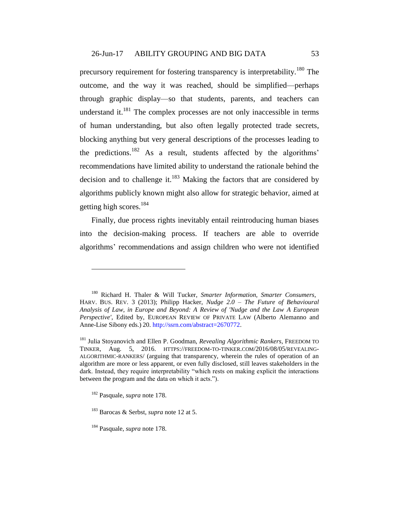precursory requirement for fostering transparency is interpretability.<sup>180</sup> The outcome, and the way it was reached, should be simplified—perhaps through graphic display—so that students, parents, and teachers can understand it. $^{181}$  The complex processes are not only inaccessible in terms of human understanding, but also often legally protected trade secrets, blocking anything but very general descriptions of the processes leading to the predictions.<sup>182</sup> As a result, students affected by the algorithms' recommendations have limited ability to understand the rationale behind the decision and to challenge it. $^{183}$  Making the factors that are considered by algorithms publicly known might also allow for strategic behavior, aimed at getting high scores.<sup>184</sup>

Finally, due process rights inevitably entail reintroducing human biases into the decision-making process. If teachers are able to override algorithms' recommendations and assign children who were not identified

<sup>180</sup> Richard H. Thaler & Will Tucker, *Smarter Information, Smarter Consumers,* HARV. BUS. REV. 3 (2013); Philipp Hacker, *Nudge 2.0 – The Future of Behavioural Analysis of Law, in Europe and Beyond: A Review of 'Nudge and the Law A European Perspective'*, Edited by, EUROPEAN REVIEW OF PRIVATE LAW (Alberto Alemanno and Anne-Lise Sibony eds.) 20. http://ssrn.com/abstract=2670772.

<sup>181</sup> Julia Stoyanovich and Ellen P. Goodman, *Revealing Algorithmic Rankers*, FREEDOM TO TINKER, Aug. 5, 2016. HTTPS://FREEDOM-TO-TINKER.COM/2016/08/05/REVEALING-ALGORITHMIC-RANKERS/ (arguing that transparency, wherein the rules of operation of an algorithm are more or less apparent, or even fully disclosed, still leaves stakeholders in the dark. Instead, they require interpretability "which rests on making explicit the interactions between the program and the data on which it acts.").

<sup>182</sup> Pasquale, *supra* note [178.](#page-51-0)

<sup>183</sup> Barocas & Serbst, *supra* not[e 12](#page-5-0) at 5.

<sup>184</sup> Pasquale, *supra* note [178.](#page-51-0)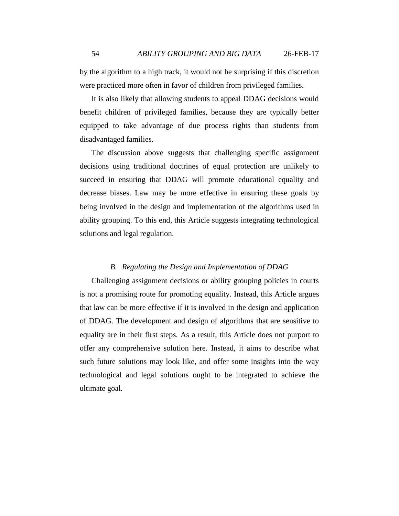by the algorithm to a high track, it would not be surprising if this discretion were practiced more often in favor of children from privileged families.

It is also likely that allowing students to appeal DDAG decisions would benefit children of privileged families, because they are typically better equipped to take advantage of due process rights than students from disadvantaged families.

The discussion above suggests that challenging specific assignment decisions using traditional doctrines of equal protection are unlikely to succeed in ensuring that DDAG will promote educational equality and decrease biases. Law may be more effective in ensuring these goals by being involved in the design and implementation of the algorithms used in ability grouping. To this end, this Article suggests integrating technological solutions and legal regulation.

### *B. Regulating the Design and Implementation of DDAG*

Challenging assignment decisions or ability grouping policies in courts is not a promising route for promoting equality. Instead, this Article argues that law can be more effective if it is involved in the design and application of DDAG. The development and design of algorithms that are sensitive to equality are in their first steps. As a result, this Article does not purport to offer any comprehensive solution here. Instead, it aims to describe what such future solutions may look like, and offer some insights into the way technological and legal solutions ought to be integrated to achieve the ultimate goal.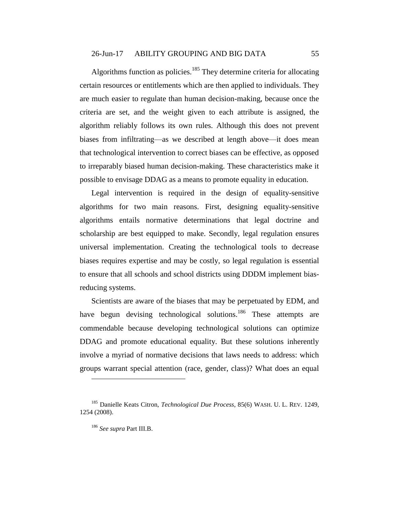#### 26-Jun-17 ABILITY GROUPING AND BIG DATA 55

Algorithms function as policies.<sup>185</sup> They determine criteria for allocating certain resources or entitlements which are then applied to individuals. They are much easier to regulate than human decision-making, because once the criteria are set, and the weight given to each attribute is assigned, the algorithm reliably follows its own rules. Although this does not prevent biases from infiltrating—as we described at length above—it does mean that technological intervention to correct biases can be effective, as opposed to irreparably biased human decision-making. These characteristics make it possible to envisage DDAG as a means to promote equality in education.

Legal intervention is required in the design of equality-sensitive algorithms for two main reasons. First, designing equality-sensitive algorithms entails normative determinations that legal doctrine and scholarship are best equipped to make. Secondly, legal regulation ensures universal implementation. Creating the technological tools to decrease biases requires expertise and may be costly, so legal regulation is essential to ensure that all schools and school districts using DDDM implement biasreducing systems.

Scientists are aware of the biases that may be perpetuated by EDM, and have begun devising technological solutions.<sup>186</sup> These attempts are commendable because developing technological solutions can optimize DDAG and promote educational equality. But these solutions inherently involve a myriad of normative decisions that laws needs to address: which groups warrant special attention (race, gender, class)? What does an equal

<sup>185</sup> Danielle Keats Citron, *Technological Due Process*, 85(6) WASH. U. L. REV. 1249, 1254 (2008).

<sup>186</sup> *See supra* Part III.B.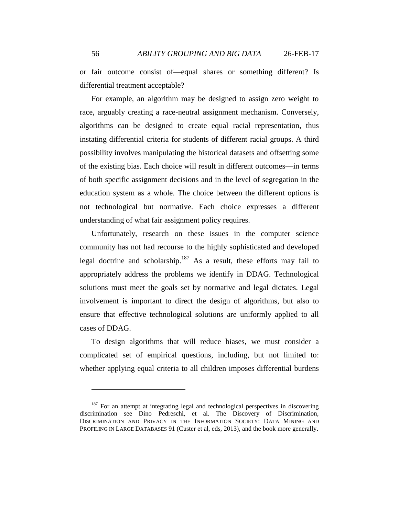or fair outcome consist of—equal shares or something different? Is differential treatment acceptable?

For example, an algorithm may be designed to assign zero weight to race, arguably creating a race-neutral assignment mechanism. Conversely, algorithms can be designed to create equal racial representation, thus instating differential criteria for students of different racial groups. A third possibility involves manipulating the historical datasets and offsetting some of the existing bias. Each choice will result in different outcomes—in terms of both specific assignment decisions and in the level of segregation in the education system as a whole. The choice between the different options is not technological but normative. Each choice expresses a different understanding of what fair assignment policy requires.

Unfortunately, research on these issues in the computer science community has not had recourse to the highly sophisticated and developed legal doctrine and scholarship.<sup>187</sup> As a result, these efforts may fail to appropriately address the problems we identify in DDAG. Technological solutions must meet the goals set by normative and legal dictates. Legal involvement is important to direct the design of algorithms, but also to ensure that effective technological solutions are uniformly applied to all cases of DDAG.

To design algorithms that will reduce biases, we must consider a complicated set of empirical questions, including, but not limited to: whether applying equal criteria to all children imposes differential burdens

<sup>&</sup>lt;sup>187</sup> For an attempt at integrating legal and technological perspectives in discovering discrimination see Dino Pedreschi, et al. The Discovery of Discrimination, DISCRIMINATION AND PRIVACY IN THE INFORMATION SOCIETY: DATA MINING AND PROFILING IN LARGE DATABASES 91 (Custer et al, eds, 2013), and the book more generally.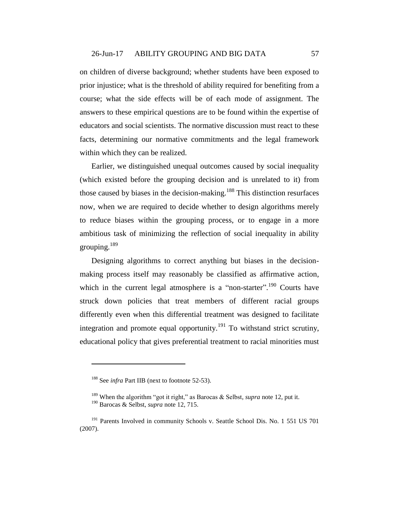on children of diverse background; whether students have been exposed to prior injustice; what is the threshold of ability required for benefiting from a course; what the side effects will be of each mode of assignment. The answers to these empirical questions are to be found within the expertise of educators and social scientists. The normative discussion must react to these facts, determining our normative commitments and the legal framework within which they can be realized.

Earlier, we distinguished unequal outcomes caused by social inequality (which existed before the grouping decision and is unrelated to it) from those caused by biases in the decision-making.<sup>188</sup> This distinction resurfaces now, when we are required to decide whether to design algorithms merely to reduce biases within the grouping process, or to engage in a more ambitious task of minimizing the reflection of social inequality in ability grouping. $189$ 

Designing algorithms to correct anything but biases in the decisionmaking process itself may reasonably be classified as affirmative action, which in the current legal atmosphere is a "non-starter".<sup>190</sup> Courts have struck down policies that treat members of different racial groups differently even when this differential treatment was designed to facilitate integration and promote equal opportunity.<sup>191</sup> To withstand strict scrutiny, educational policy that gives preferential treatment to racial minorities must

<sup>&</sup>lt;sup>188</sup> See *infra* Part IIB (next to footnote [52](#page-18-0)[-53\)](#page-18-1).

<sup>189</sup> When the algorithm "got it right," as Barocas & Selbst, *supra* not[e 12,](#page-5-0) put it. <sup>190</sup> Barocas & Selbst, *supra* note [12,](#page-5-0) 715.

<sup>&</sup>lt;sup>191</sup> Parents Involved in community Schools v. Seattle School Dis. No. 1 551 US 701 (2007).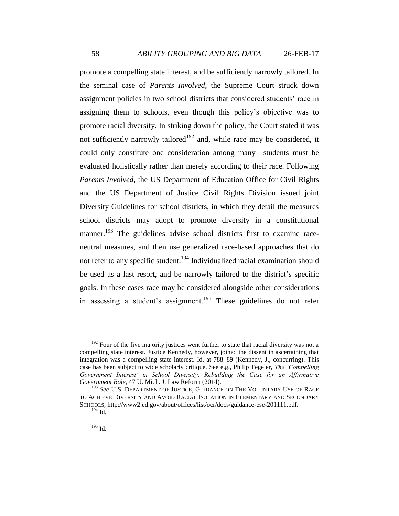promote a compelling state interest, and be sufficiently narrowly tailored. In the seminal case of *Parents Involved*, the Supreme Court struck down assignment policies in two school districts that considered students' race in assigning them to schools, even though this policy's objective was to promote racial diversity. In striking down the policy, the Court stated it was not sufficiently narrowly tailored<sup>192</sup> and, while race may be considered, it could only constitute one consideration among many—students must be evaluated holistically rather than merely according to their race. Following *Parents Involved*, the US Department of Education Office for Civil Rights and the US Department of Justice Civil Rights Division issued joint Diversity Guidelines for school districts, in which they detail the measures school districts may adopt to promote diversity in a constitutional manner.<sup>193</sup> The guidelines advise school districts first to examine raceneutral measures, and then use generalized race-based approaches that do not refer to any specific student.<sup>194</sup> Individualized racial examination should be used as a last resort, and be narrowly tailored to the district's specific goals. In these cases race may be considered alongside other considerations in assessing a student's assignment.<sup>195</sup> These guidelines do not refer

 $192$  Four of the five majority justices went further to state that racial diversity was not a compelling state interest. Justice Kennedy, however, joined the dissent in ascertaining that integration was a compelling state interest. Id. at 788–89 (Kennedy, J., concurring). This case has been subject to wide scholarly critique. See e.g., Philip Tegeler, *The 'Compelling Government Interest' in School Diversity: Rebuilding the Case for an Affirmative Government Role,* 47 U. Mich. J. Law Reform (2014).

<sup>&</sup>lt;sup>193</sup> See U.S. DEPARTMENT OF JUSTICE, GUIDANCE ON THE VOLUNTARY USE OF RACE TO ACHIEVE DIVERSITY AND AVOID RACIAL ISOLATION IN ELEMENTARY AND SECONDARY SCHOOLS, http://www2.ed.gov/about/offices/list/ocr/docs/guidance-ese-201111.pdf. <sup>194</sup> Id.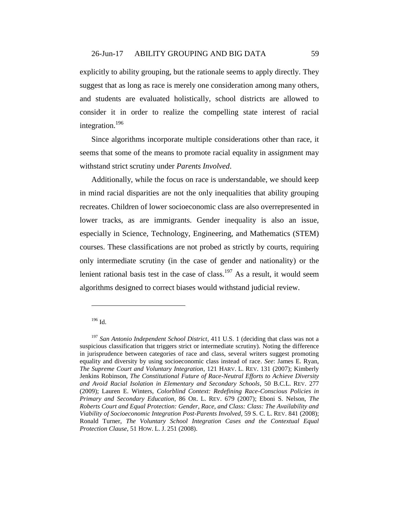explicitly to ability grouping, but the rationale seems to apply directly. They suggest that as long as race is merely one consideration among many others, and students are evaluated holistically, school districts are allowed to consider it in order to realize the compelling state interest of racial integration.<sup>196</sup>

Since algorithms incorporate multiple considerations other than race, it seems that some of the means to promote racial equality in assignment may withstand strict scrutiny under *Parents Involved*.

Additionally, while the focus on race is understandable, we should keep in mind racial disparities are not the only inequalities that ability grouping recreates. Children of lower socioeconomic class are also overrepresented in lower tracks, as are immigrants. Gender inequality is also an issue, especially in Science, Technology, Engineering, and Mathematics (STEM) courses. These classifications are not probed as strictly by courts, requiring only intermediate scrutiny (in the case of gender and nationality) or the lenient rational basis test in the case of class.<sup>197</sup> As a result, it would seem algorithms designed to correct biases would withstand judicial review.

# <sup>196</sup> Id.

<sup>197</sup> *San Antonio Independent School District*, 411 U.S. 1 (deciding that class was not a suspicious classification that triggers strict or intermediate scrutiny). Noting the difference in jurisprudence between categories of race and class, several writers suggest promoting equality and diversity by using socioeconomic class instead of race. *See*: James E. Ryan, *The Supreme Court and Voluntary Integration*, 121 HARV. L. REV. 131 (2007); Kimberly Jenkins Robinson, *The Constitutional Future of Race-Neutral Efforts to Achieve Diversity and Avoid Racial Isolation in Elementary and Secondary Schools*, 50 B.C.L. REV. 277 (2009); Lauren E. Winters, *Colorblind Context: Redefining Race-Conscious Policies in Primary and Secondary Education*, 86 OR. L. REV. 679 (2007); Eboni S. Nelson, *The Roberts Court and Equal Protection: Gender, Race, and Class: Class: The Availability and Viability of Socioeconomic Integration Post-Parents Involved*, 59 S. C. L. REV. 841 (2008); Ronald Turner, *The Voluntary School Integration Cases and the Contextual Equal Protection Clause*, 51 HOW. L. J. 251 (2008).